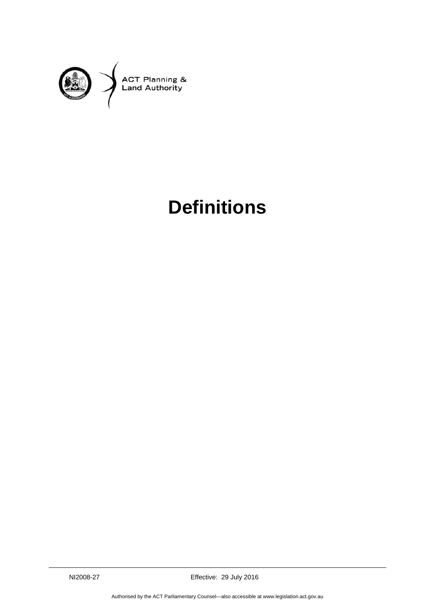

## **Definitions**

NI2008-27 Effective: 29 July 2016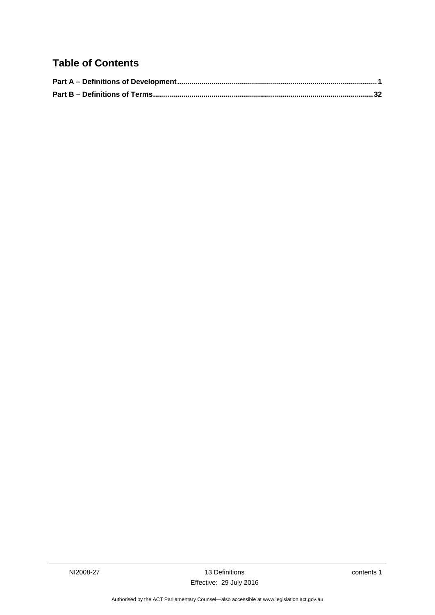## **Table of Contents**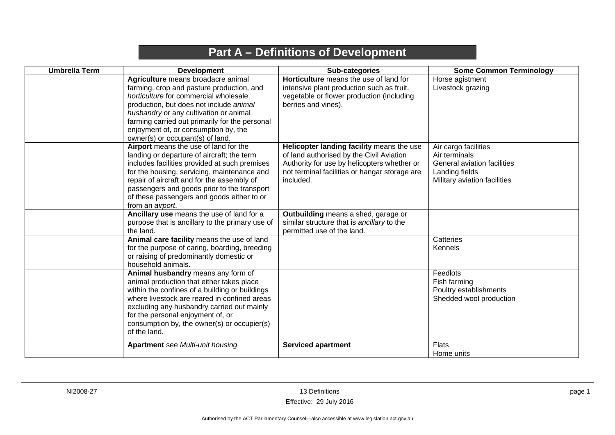## **Part A – Definitions of Development**

<span id="page-4-0"></span>

| <b>Umbrella Term</b> | <b>Development</b>                                                                                                                                                                                                                                                                                                                                 | Sub-categories                                                                                                                                                                                     | <b>Some Common Terminology</b>                                                                                         |
|----------------------|----------------------------------------------------------------------------------------------------------------------------------------------------------------------------------------------------------------------------------------------------------------------------------------------------------------------------------------------------|----------------------------------------------------------------------------------------------------------------------------------------------------------------------------------------------------|------------------------------------------------------------------------------------------------------------------------|
|                      | Agriculture means broadacre animal<br>farming, crop and pasture production, and<br>horticulture for commercial wholesale<br>production, but does not include animal<br>husbandry or any cultivation or animal<br>farming carried out primarily for the personal<br>enjoyment of, or consumption by, the<br>owner(s) or occupant(s) of land.        | Horticulture means the use of land for<br>intensive plant production such as fruit,<br>vegetable or flower production (including<br>berries and vines).                                            | Horse agistment<br>Livestock grazing                                                                                   |
|                      | Airport means the use of land for the<br>landing or departure of aircraft; the term<br>includes facilities provided at such premises<br>for the housing, servicing, maintenance and<br>repair of aircraft and for the assembly of<br>passengers and goods prior to the transport<br>of these passengers and goods either to or<br>from an airport. | Helicopter landing facility means the use<br>of land authorised by the Civil Aviation<br>Authority for use by helicopters whether or<br>not terminal facilities or hangar storage are<br>included. | Air cargo facilities<br>Air terminals<br>General aviation facilities<br>Landing fields<br>Military aviation facilities |
|                      | Ancillary use means the use of land for a<br>purpose that is ancillary to the primary use of<br>the land.                                                                                                                                                                                                                                          | Outbuilding means a shed, garage or<br>similar structure that is ancillary to the<br>permitted use of the land.                                                                                    |                                                                                                                        |
|                      | Animal care facility means the use of land<br>for the purpose of caring, boarding, breeding<br>or raising of predominantly domestic or<br>household animals.                                                                                                                                                                                       |                                                                                                                                                                                                    | Catteries<br>Kennels                                                                                                   |
|                      | Animal husbandry means any form of<br>animal production that either takes place<br>within the confines of a building or buildings<br>where livestock are reared in confined areas<br>excluding any husbandry carried out mainly<br>for the personal enjoyment of, or<br>consumption by, the owner(s) or occupier(s)<br>of the land.                |                                                                                                                                                                                                    | Feedlots<br>Fish farming<br>Poultry establishments<br>Shedded wool production                                          |
|                      | <b>Apartment</b> see Multi-unit housing                                                                                                                                                                                                                                                                                                            | <b>Serviced apartment</b>                                                                                                                                                                          | <b>Flats</b><br>Home units                                                                                             |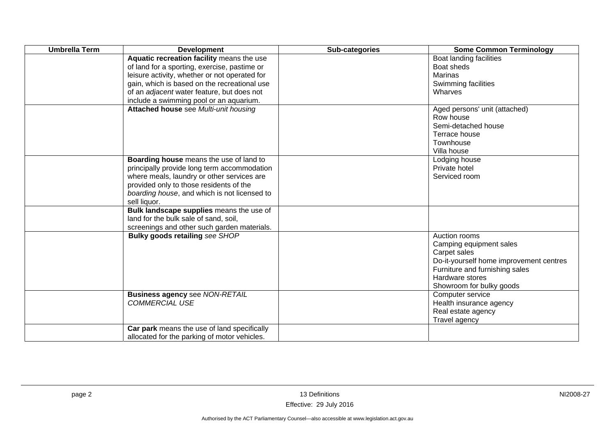| <b>Umbrella Term</b> | <b>Development</b>                                                                                                                                                                                                                                                                  | Sub-categories | <b>Some Common Terminology</b>                                                                                                                                                       |
|----------------------|-------------------------------------------------------------------------------------------------------------------------------------------------------------------------------------------------------------------------------------------------------------------------------------|----------------|--------------------------------------------------------------------------------------------------------------------------------------------------------------------------------------|
|                      | Aquatic recreation facility means the use<br>of land for a sporting, exercise, pastime or<br>leisure activity, whether or not operated for<br>gain, which is based on the recreational use<br>of an adjacent water feature, but does not<br>include a swimming pool or an aquarium. |                | Boat landing facilities<br>Boat sheds<br><b>Marinas</b><br>Swimming facilities<br>Wharves                                                                                            |
|                      | Attached house see Multi-unit housing                                                                                                                                                                                                                                               |                | Aged persons' unit (attached)<br>Row house<br>Semi-detached house<br>Terrace house<br>Townhouse<br>Villa house                                                                       |
|                      | Boarding house means the use of land to<br>principally provide long term accommodation<br>where meals, laundry or other services are<br>provided only to those residents of the<br>boarding house, and which is not licensed to<br>sell liquor.                                     |                | Lodging house<br>Private hotel<br>Serviced room                                                                                                                                      |
|                      | Bulk landscape supplies means the use of<br>land for the bulk sale of sand, soil,<br>screenings and other such garden materials.                                                                                                                                                    |                |                                                                                                                                                                                      |
|                      | <b>Bulky goods retailing see SHOP</b>                                                                                                                                                                                                                                               |                | Auction rooms<br>Camping equipment sales<br>Carpet sales<br>Do-it-yourself home improvement centres<br>Furniture and furnishing sales<br>Hardware stores<br>Showroom for bulky goods |
|                      | <b>Business agency see NON-RETAIL</b><br><b>COMMERCIAL USE</b>                                                                                                                                                                                                                      |                | Computer service<br>Health insurance agency<br>Real estate agency<br>Travel agency                                                                                                   |
|                      | Car park means the use of land specifically<br>allocated for the parking of motor vehicles.                                                                                                                                                                                         |                |                                                                                                                                                                                      |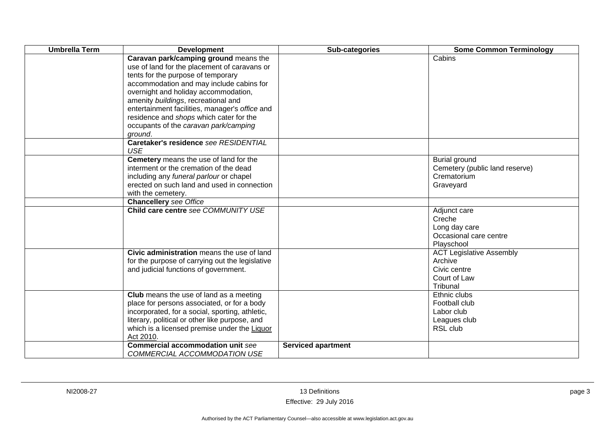| <b>Umbrella Term</b> | <b>Development</b>                                                                                                                                                                                                                                                                                                                                                                                      | Sub-categories            | <b>Some Common Terminology</b>                                                         |
|----------------------|---------------------------------------------------------------------------------------------------------------------------------------------------------------------------------------------------------------------------------------------------------------------------------------------------------------------------------------------------------------------------------------------------------|---------------------------|----------------------------------------------------------------------------------------|
|                      | Caravan park/camping ground means the<br>use of land for the placement of caravans or<br>tents for the purpose of temporary<br>accommodation and may include cabins for<br>overnight and holiday accommodation,<br>amenity buildings, recreational and<br>entertainment facilities, manager's office and<br>residence and shops which cater for the<br>occupants of the caravan park/camping<br>ground. |                           | Cabins                                                                                 |
|                      | Caretaker's residence see RESIDENTIAL<br><b>USE</b>                                                                                                                                                                                                                                                                                                                                                     |                           |                                                                                        |
|                      | Cemetery means the use of land for the<br>interment or the cremation of the dead<br>including any funeral parlour or chapel<br>erected on such land and used in connection<br>with the cemetery.                                                                                                                                                                                                        |                           | <b>Burial ground</b><br>Cemetery (public land reserve)<br>Crematorium<br>Graveyard     |
|                      | <b>Chancellery</b> see Office                                                                                                                                                                                                                                                                                                                                                                           |                           |                                                                                        |
|                      | Child care centre see COMMUNITY USE                                                                                                                                                                                                                                                                                                                                                                     |                           | Adjunct care<br>Creche<br>Long day care<br>Occasional care centre<br>Playschool        |
|                      | Civic administration means the use of land<br>for the purpose of carrying out the legislative<br>and judicial functions of government.                                                                                                                                                                                                                                                                  |                           | <b>ACT Legislative Assembly</b><br>Archive<br>Civic centre<br>Court of Law<br>Tribunal |
|                      | <b>Club</b> means the use of land as a meeting<br>place for persons associated, or for a body<br>incorporated, for a social, sporting, athletic,<br>literary, political or other like purpose, and<br>which is a licensed premise under the Liquor<br>Act 2010.                                                                                                                                         |                           | Ethnic clubs<br>Football club<br>Labor club<br>Leagues club<br>RSL club                |
|                      | <b>Commercial accommodation unit see</b><br>COMMERCIAL ACCOMMODATION USE                                                                                                                                                                                                                                                                                                                                | <b>Serviced apartment</b> |                                                                                        |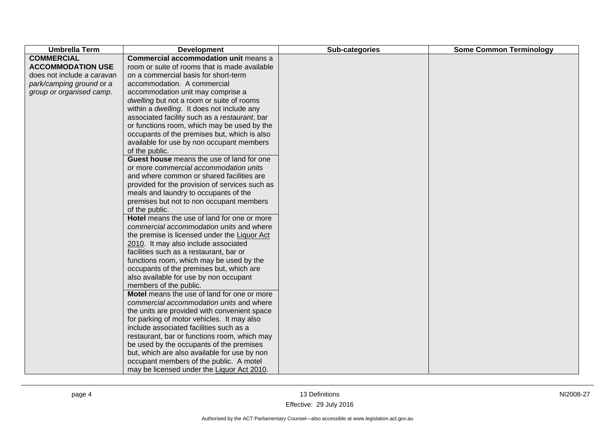| <b>Umbrella Term</b>       | <b>Development</b>                             | Sub-categories | <b>Some Common Terminology</b> |
|----------------------------|------------------------------------------------|----------------|--------------------------------|
| <b>COMMERCIAL</b>          | <b>Commercial accommodation unit means a</b>   |                |                                |
| <b>ACCOMMODATION USE</b>   | room or suite of rooms that is made available  |                |                                |
| does not include a caravan | on a commercial basis for short-term           |                |                                |
| park/camping ground or a   | accommodation. A commercial                    |                |                                |
| group or organised camp.   | accommodation unit may comprise a              |                |                                |
|                            | dwelling but not a room or suite of rooms      |                |                                |
|                            | within a dwelling. It does not include any     |                |                                |
|                            | associated facility such as a restaurant, bar  |                |                                |
|                            | or functions room, which may be used by the    |                |                                |
|                            | occupants of the premises but, which is also   |                |                                |
|                            | available for use by non occupant members      |                |                                |
|                            | of the public.                                 |                |                                |
|                            | Guest house means the use of land for one      |                |                                |
|                            | or more commercial accommodation units         |                |                                |
|                            | and where common or shared facilities are      |                |                                |
|                            | provided for the provision of services such as |                |                                |
|                            | meals and laundry to occupants of the          |                |                                |
|                            | premises but not to non occupant members       |                |                                |
|                            | of the public.                                 |                |                                |
|                            | Hotel means the use of land for one or more    |                |                                |
|                            | commercial accommodation units and where       |                |                                |
|                            | the premise is licensed under the Liquor Act   |                |                                |
|                            | 2010. It may also include associated           |                |                                |
|                            | facilities such as a restaurant, bar or        |                |                                |
|                            | functions room, which may be used by the       |                |                                |
|                            | occupants of the premises but, which are       |                |                                |
|                            | also available for use by non occupant         |                |                                |
|                            | members of the public.                         |                |                                |
|                            | Motel means the use of land for one or more    |                |                                |
|                            | commercial accommodation units and where       |                |                                |
|                            | the units are provided with convenient space   |                |                                |
|                            | for parking of motor vehicles. It may also     |                |                                |
|                            | include associated facilities such as a        |                |                                |
|                            | restaurant, bar or functions room, which may   |                |                                |
|                            | be used by the occupants of the premises       |                |                                |
|                            | but, which are also available for use by non   |                |                                |
|                            | occupant members of the public. A motel        |                |                                |
|                            | may be licensed under the Liquor Act 2010.     |                |                                |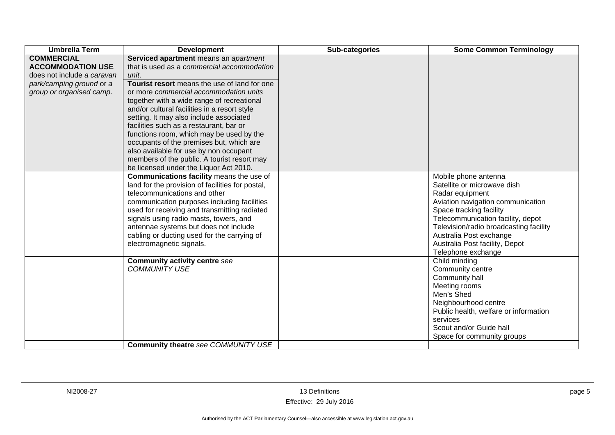| <b>Umbrella Term</b>       | <b>Development</b>                               | Sub-categories | <b>Some Common Terminology</b>         |
|----------------------------|--------------------------------------------------|----------------|----------------------------------------|
| <b>COMMERCIAL</b>          | Serviced apartment means an apartment            |                |                                        |
| <b>ACCOMMODATION USE</b>   | that is used as a commercial accommodation       |                |                                        |
| does not include a caravan | unit.                                            |                |                                        |
| park/camping ground or a   | Tourist resort means the use of land for one     |                |                                        |
| group or organised camp.   | or more commercial accommodation units           |                |                                        |
|                            | together with a wide range of recreational       |                |                                        |
|                            | and/or cultural facilities in a resort style     |                |                                        |
|                            | setting. It may also include associated          |                |                                        |
|                            | facilities such as a restaurant, bar or          |                |                                        |
|                            | functions room, which may be used by the         |                |                                        |
|                            | occupants of the premises but, which are         |                |                                        |
|                            | also available for use by non occupant           |                |                                        |
|                            | members of the public. A tourist resort may      |                |                                        |
|                            | be licensed under the Liquor Act 2010.           |                |                                        |
|                            | Communications facility means the use of         |                | Mobile phone antenna                   |
|                            | land for the provision of facilities for postal, |                | Satellite or microwave dish            |
|                            | telecommunications and other                     |                | Radar equipment                        |
|                            | communication purposes including facilities      |                | Aviation navigation communication      |
|                            | used for receiving and transmitting radiated     |                | Space tracking facility                |
|                            | signals using radio masts, towers, and           |                | Telecommunication facility, depot      |
|                            | antennae systems but does not include            |                | Television/radio broadcasting facility |
|                            | cabling or ducting used for the carrying of      |                | Australia Post exchange                |
|                            | electromagnetic signals.                         |                | Australia Post facility, Depot         |
|                            |                                                  |                | Telephone exchange                     |
|                            | <b>Community activity centre see</b>             |                | Child minding                          |
|                            | <b>COMMUNITY USE</b>                             |                | Community centre                       |
|                            |                                                  |                | Community hall                         |
|                            |                                                  |                | Meeting rooms                          |
|                            |                                                  |                | Men's Shed                             |
|                            |                                                  |                | Neighbourhood centre                   |
|                            |                                                  |                | Public health, welfare or information  |
|                            |                                                  |                | services                               |
|                            |                                                  |                | Scout and/or Guide hall                |
|                            |                                                  |                | Space for community groups             |
|                            | Community theatre see COMMUNITY USE              |                |                                        |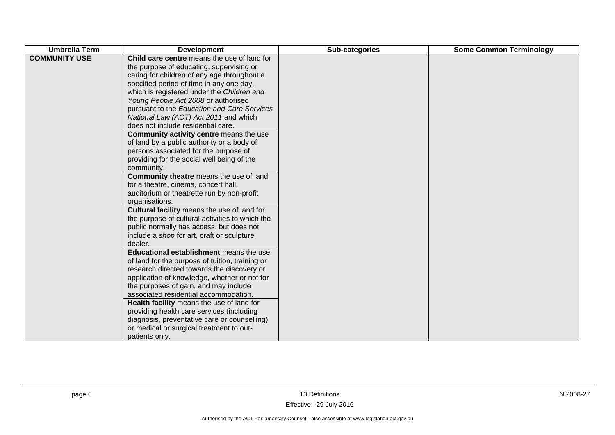| <b>Umbrella Term</b> | <b>Development</b>                                                                                                                                                                                                                                                                                                                                                                                                                                                                                                                                                                                                                                                                                                                                                                                                                                                                                                                                                                                                                                                                                                                                                                                                                                                                                                                                                                                                                | Sub-categories | <b>Some Common Terminology</b> |
|----------------------|-----------------------------------------------------------------------------------------------------------------------------------------------------------------------------------------------------------------------------------------------------------------------------------------------------------------------------------------------------------------------------------------------------------------------------------------------------------------------------------------------------------------------------------------------------------------------------------------------------------------------------------------------------------------------------------------------------------------------------------------------------------------------------------------------------------------------------------------------------------------------------------------------------------------------------------------------------------------------------------------------------------------------------------------------------------------------------------------------------------------------------------------------------------------------------------------------------------------------------------------------------------------------------------------------------------------------------------------------------------------------------------------------------------------------------------|----------------|--------------------------------|
| <b>COMMUNITY USE</b> | Child care centre means the use of land for<br>the purpose of educating, supervising or<br>caring for children of any age throughout a<br>specified period of time in any one day,<br>which is registered under the Children and<br>Young People Act 2008 or authorised<br>pursuant to the Education and Care Services<br>National Law (ACT) Act 2011 and which<br>does not include residential care.<br>Community activity centre means the use<br>of land by a public authority or a body of<br>persons associated for the purpose of<br>providing for the social well being of the<br>community.<br>Community theatre means the use of land<br>for a theatre, cinema, concert hall,<br>auditorium or theatrette run by non-profit<br>organisations.<br>Cultural facility means the use of land for<br>the purpose of cultural activities to which the<br>public normally has access, but does not<br>include a shop for art, craft or sculpture<br>dealer.<br>Educational establishment means the use<br>of land for the purpose of tuition, training or<br>research directed towards the discovery or<br>application of knowledge, whether or not for<br>the purposes of gain, and may include<br>associated residential accommodation.<br>Health facility means the use of land for<br>providing health care services (including<br>diagnosis, preventative care or counselling)<br>or medical or surgical treatment to out- |                |                                |
|                      | patients only.                                                                                                                                                                                                                                                                                                                                                                                                                                                                                                                                                                                                                                                                                                                                                                                                                                                                                                                                                                                                                                                                                                                                                                                                                                                                                                                                                                                                                    |                |                                |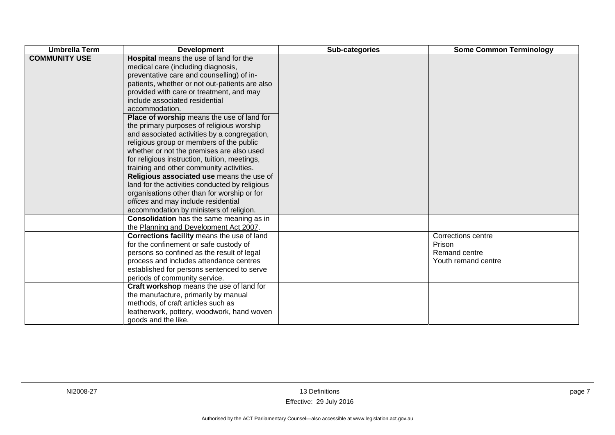| <b>Umbrella Term</b> | <b>Development</b>                                                                                                                                                                                                                                                                                                                                                                                                                                                                                                                                                                                                                                                                                                                                                                                                                           | Sub-categories | <b>Some Common Terminology</b>                                       |
|----------------------|----------------------------------------------------------------------------------------------------------------------------------------------------------------------------------------------------------------------------------------------------------------------------------------------------------------------------------------------------------------------------------------------------------------------------------------------------------------------------------------------------------------------------------------------------------------------------------------------------------------------------------------------------------------------------------------------------------------------------------------------------------------------------------------------------------------------------------------------|----------------|----------------------------------------------------------------------|
| <b>COMMUNITY USE</b> | Hospital means the use of land for the<br>medical care (including diagnosis,<br>preventative care and counselling) of in-<br>patients, whether or not out-patients are also<br>provided with care or treatment, and may<br>include associated residential<br>accommodation.<br>Place of worship means the use of land for<br>the primary purposes of religious worship<br>and associated activities by a congregation,<br>religious group or members of the public<br>whether or not the premises are also used<br>for religious instruction, tuition, meetings,<br>training and other community activities.<br>Religious associated use means the use of<br>land for the activities conducted by religious<br>organisations other than for worship or for<br>offices and may include residential<br>accommodation by ministers of religion. |                |                                                                      |
|                      | <b>Consolidation</b> has the same meaning as in<br>the Planning and Development Act 2007.                                                                                                                                                                                                                                                                                                                                                                                                                                                                                                                                                                                                                                                                                                                                                    |                |                                                                      |
|                      | Corrections facility means the use of land<br>for the confinement or safe custody of<br>persons so confined as the result of legal<br>process and includes attendance centres<br>established for persons sentenced to serve<br>periods of community service.                                                                                                                                                                                                                                                                                                                                                                                                                                                                                                                                                                                 |                | Corrections centre<br>Prison<br>Remand centre<br>Youth remand centre |
|                      | Craft workshop means the use of land for<br>the manufacture, primarily by manual<br>methods, of craft articles such as<br>leatherwork, pottery, woodwork, hand woven<br>goods and the like.                                                                                                                                                                                                                                                                                                                                                                                                                                                                                                                                                                                                                                                  |                |                                                                      |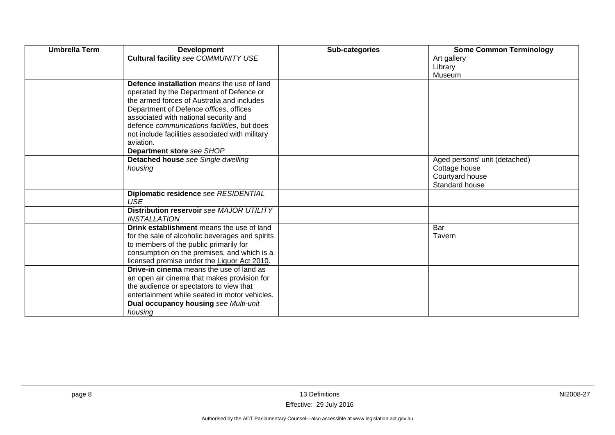| <b>Umbrella Term</b> | <b>Development</b>                                 | Sub-categories | <b>Some Common Terminology</b> |
|----------------------|----------------------------------------------------|----------------|--------------------------------|
|                      | Cultural facility see COMMUNITY USE                |                | Art gallery                    |
|                      |                                                    |                | Library                        |
|                      |                                                    |                | Museum                         |
|                      | Defence installation means the use of land         |                |                                |
|                      | operated by the Department of Defence or           |                |                                |
|                      | the armed forces of Australia and includes         |                |                                |
|                      | Department of Defence offices, offices             |                |                                |
|                      | associated with national security and              |                |                                |
|                      | defence communications facilities, but does        |                |                                |
|                      | not include facilities associated with military    |                |                                |
|                      | aviation.<br>Department store see SHOP             |                |                                |
|                      | Detached house see Single dwelling                 |                | Aged persons' unit (detached)  |
|                      | housing                                            |                | Cottage house                  |
|                      |                                                    |                | Courtyard house                |
|                      |                                                    |                | Standard house                 |
|                      | Diplomatic residence see RESIDENTIAL<br><b>USE</b> |                |                                |
|                      | Distribution reservoir see MAJOR UTILITY           |                |                                |
|                      | <i><b>INSTALLATION</b></i>                         |                |                                |
|                      | Drink establishment means the use of land          |                | Bar                            |
|                      | for the sale of alcoholic beverages and spirits    |                | Tavern                         |
|                      | to members of the public primarily for             |                |                                |
|                      | consumption on the premises, and which is a        |                |                                |
|                      | licensed premise under the Liquor Act 2010.        |                |                                |
|                      | <b>Drive-in cinema</b> means the use of land as    |                |                                |
|                      | an open air cinema that makes provision for        |                |                                |
|                      | the audience or spectators to view that            |                |                                |
|                      | entertainment while seated in motor vehicles.      |                |                                |
|                      | Dual occupancy housing see Multi-unit              |                |                                |
|                      | housing                                            |                |                                |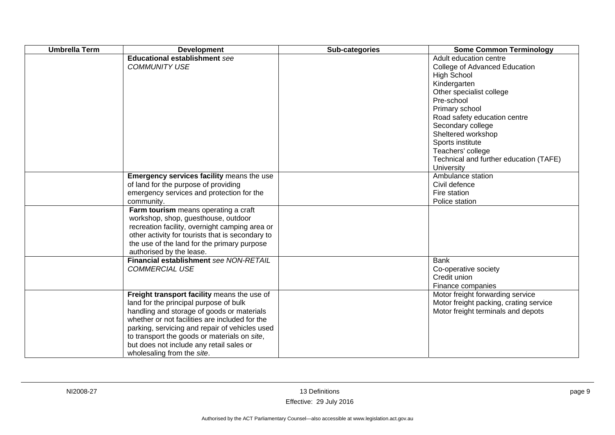| <b>Umbrella Term</b> | <b>Development</b>                                                                                                                                                                                                                                                                                                                                                | Sub-categories | <b>Some Common Terminology</b>                                                                                                                                                                                                                                                                                                        |
|----------------------|-------------------------------------------------------------------------------------------------------------------------------------------------------------------------------------------------------------------------------------------------------------------------------------------------------------------------------------------------------------------|----------------|---------------------------------------------------------------------------------------------------------------------------------------------------------------------------------------------------------------------------------------------------------------------------------------------------------------------------------------|
|                      | <b>Educational establishment see</b><br><b>COMMUNITY USE</b>                                                                                                                                                                                                                                                                                                      |                | Adult education centre<br>College of Advanced Education<br><b>High School</b><br>Kindergarten<br>Other specialist college<br>Pre-school<br>Primary school<br>Road safety education centre<br>Secondary college<br>Sheltered workshop<br>Sports institute<br>Teachers' college<br>Technical and further education (TAFE)<br>University |
|                      | Emergency services facility means the use<br>of land for the purpose of providing<br>emergency services and protection for the<br>community.                                                                                                                                                                                                                      |                | Ambulance station<br>Civil defence<br>Fire station<br>Police station                                                                                                                                                                                                                                                                  |
|                      | Farm tourism means operating a craft<br>workshop, shop, guesthouse, outdoor<br>recreation facility, overnight camping area or<br>other activity for tourists that is secondary to<br>the use of the land for the primary purpose<br>authorised by the lease.                                                                                                      |                |                                                                                                                                                                                                                                                                                                                                       |
|                      | Financial establishment see NON-RETAIL<br><b>COMMERCIAL USE</b>                                                                                                                                                                                                                                                                                                   |                | <b>Bank</b><br>Co-operative society<br>Credit union<br>Finance companies                                                                                                                                                                                                                                                              |
|                      | Freight transport facility means the use of<br>land for the principal purpose of bulk<br>handling and storage of goods or materials<br>whether or not facilities are included for the<br>parking, servicing and repair of vehicles used<br>to transport the goods or materials on site,<br>but does not include any retail sales or<br>wholesaling from the site. |                | Motor freight forwarding service<br>Motor freight packing, crating service<br>Motor freight terminals and depots                                                                                                                                                                                                                      |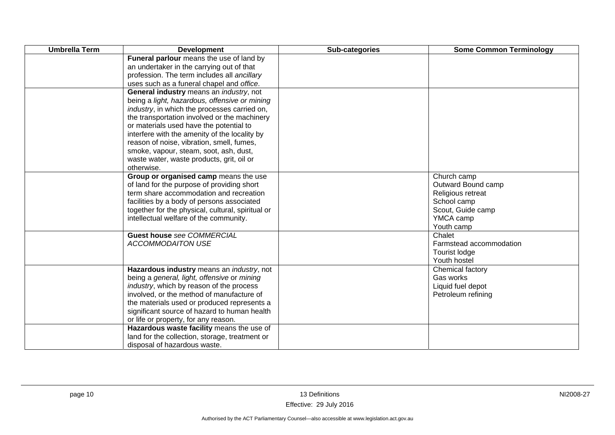| <b>Umbrella Term</b> | <b>Development</b>                                                                                                                                                                                                                                                                                                                                                                                                                                      | Sub-categories | <b>Some Common Terminology</b>                                                                                        |
|----------------------|---------------------------------------------------------------------------------------------------------------------------------------------------------------------------------------------------------------------------------------------------------------------------------------------------------------------------------------------------------------------------------------------------------------------------------------------------------|----------------|-----------------------------------------------------------------------------------------------------------------------|
|                      | Funeral parlour means the use of land by<br>an undertaker in the carrying out of that<br>profession. The term includes all ancillary<br>uses such as a funeral chapel and office.                                                                                                                                                                                                                                                                       |                |                                                                                                                       |
|                      | General industry means an industry, not<br>being a light, hazardous, offensive or mining<br><i>industry</i> , in which the processes carried on,<br>the transportation involved or the machinery<br>or materials used have the potential to<br>interfere with the amenity of the locality by<br>reason of noise, vibration, smell, fumes,<br>smoke, vapour, steam, soot, ash, dust,<br>waste water, waste products, grit, oil or<br>otherwise.          |                |                                                                                                                       |
|                      | Group or organised camp means the use<br>of land for the purpose of providing short<br>term share accommodation and recreation<br>facilities by a body of persons associated<br>together for the physical, cultural, spiritual or<br>intellectual welfare of the community.                                                                                                                                                                             |                | Church camp<br>Outward Bound camp<br>Religious retreat<br>School camp<br>Scout, Guide camp<br>YMCA camp<br>Youth camp |
|                      | <b>Guest house see COMMERCIAL</b><br><b>ACCOMMODAITON USE</b>                                                                                                                                                                                                                                                                                                                                                                                           |                | Chalet<br>Farmstead accommodation<br>Tourist lodge<br>Youth hostel                                                    |
|                      | Hazardous industry means an industry, not<br>being a general, light, offensive or mining<br>industry, which by reason of the process<br>involved, or the method of manufacture of<br>the materials used or produced represents a<br>significant source of hazard to human health<br>or life or property, for any reason.<br>Hazardous waste facility means the use of<br>land for the collection, storage, treatment or<br>disposal of hazardous waste. |                | Chemical factory<br>Gas works<br>Liquid fuel depot<br>Petroleum refining                                              |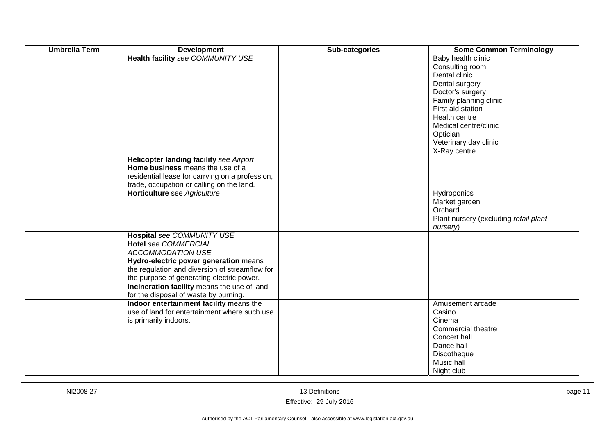| <b>Umbrella Term</b> | <b>Development</b>                              | Sub-categories | <b>Some Common Terminology</b>        |
|----------------------|-------------------------------------------------|----------------|---------------------------------------|
|                      | Health facility see COMMUNITY USE               |                | Baby health clinic                    |
|                      |                                                 |                | Consulting room                       |
|                      |                                                 |                | Dental clinic                         |
|                      |                                                 |                | Dental surgery                        |
|                      |                                                 |                | Doctor's surgery                      |
|                      |                                                 |                | Family planning clinic                |
|                      |                                                 |                | First aid station                     |
|                      |                                                 |                | Health centre                         |
|                      |                                                 |                | Medical centre/clinic                 |
|                      |                                                 |                | Optician                              |
|                      |                                                 |                | Veterinary day clinic                 |
|                      |                                                 |                | X-Ray centre                          |
|                      | Helicopter landing facility see Airport         |                |                                       |
|                      | Home business means the use of a                |                |                                       |
|                      | residential lease for carrying on a profession, |                |                                       |
|                      | trade, occupation or calling on the land.       |                |                                       |
|                      | Horticulture see Agriculture                    |                | Hydroponics                           |
|                      |                                                 |                | Market garden                         |
|                      |                                                 |                | Orchard                               |
|                      |                                                 |                | Plant nursery (excluding retail plant |
|                      |                                                 |                | nursery)                              |
|                      | Hospital see COMMUNITY USE                      |                |                                       |
|                      | <b>Hotel see COMMERCIAL</b>                     |                |                                       |
|                      | <b>ACCOMMODATION USE</b>                        |                |                                       |
|                      | Hydro-electric power generation means           |                |                                       |
|                      | the regulation and diversion of streamflow for  |                |                                       |
|                      | the purpose of generating electric power.       |                |                                       |
|                      | Incineration facility means the use of land     |                |                                       |
|                      | for the disposal of waste by burning.           |                |                                       |
|                      | Indoor entertainment facility means the         |                | Amusement arcade                      |
|                      | use of land for entertainment where such use    |                | Casino                                |
|                      | is primarily indoors.                           |                | Cinema                                |
|                      |                                                 |                | Commercial theatre                    |
|                      |                                                 |                | Concert hall                          |
|                      |                                                 |                | Dance hall                            |
|                      |                                                 |                | Discotheque                           |
|                      |                                                 |                | Music hall                            |
|                      |                                                 |                | Night club                            |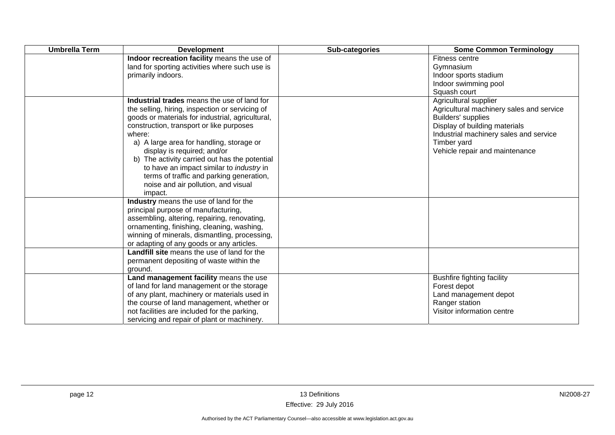| <b>Umbrella Term</b> | <b>Development</b>                                                                                                                                                                                                                                                                                                                                                                                                                                                                    | Sub-categories | <b>Some Common Terminology</b>                                                                                                                                                                                      |
|----------------------|---------------------------------------------------------------------------------------------------------------------------------------------------------------------------------------------------------------------------------------------------------------------------------------------------------------------------------------------------------------------------------------------------------------------------------------------------------------------------------------|----------------|---------------------------------------------------------------------------------------------------------------------------------------------------------------------------------------------------------------------|
|                      | Indoor recreation facility means the use of<br>land for sporting activities where such use is<br>primarily indoors.                                                                                                                                                                                                                                                                                                                                                                   |                | Fitness centre<br>Gymnasium<br>Indoor sports stadium<br>Indoor swimming pool<br>Squash court                                                                                                                        |
|                      | Industrial trades means the use of land for<br>the selling, hiring, inspection or servicing of<br>goods or materials for industrial, agricultural,<br>construction, transport or like purposes<br>where:<br>a) A large area for handling, storage or<br>display is required; and/or<br>b) The activity carried out has the potential<br>to have an impact similar to <i>industry</i> in<br>terms of traffic and parking generation,<br>noise and air pollution, and visual<br>impact. |                | Agricultural supplier<br>Agricultural machinery sales and service<br>Builders' supplies<br>Display of building materials<br>Industrial machinery sales and service<br>Timber yard<br>Vehicle repair and maintenance |
|                      | Industry means the use of land for the<br>principal purpose of manufacturing,<br>assembling, altering, repairing, renovating,<br>ornamenting, finishing, cleaning, washing,<br>winning of minerals, dismantling, processing,<br>or adapting of any goods or any articles.                                                                                                                                                                                                             |                |                                                                                                                                                                                                                     |
|                      | Landfill site means the use of land for the<br>permanent depositing of waste within the<br>ground.                                                                                                                                                                                                                                                                                                                                                                                    |                |                                                                                                                                                                                                                     |
|                      | Land management facility means the use<br>of land for land management or the storage<br>of any plant, machinery or materials used in<br>the course of land management, whether or<br>not facilities are included for the parking,<br>servicing and repair of plant or machinery.                                                                                                                                                                                                      |                | <b>Bushfire fighting facility</b><br>Forest depot<br>Land management depot<br>Ranger station<br>Visitor information centre                                                                                          |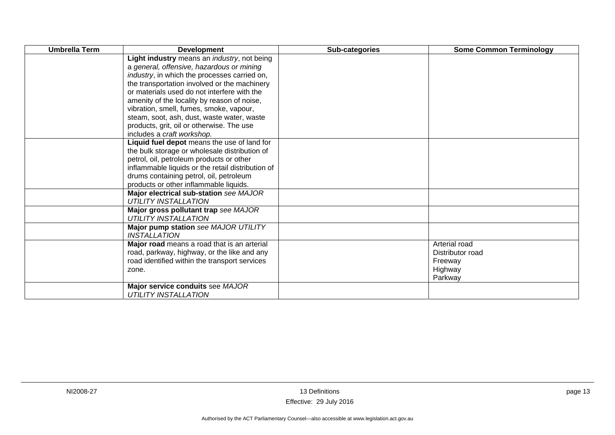| <b>Umbrella Term</b> | <b>Development</b>                                                    | Sub-categories | <b>Some Common Terminology</b> |
|----------------------|-----------------------------------------------------------------------|----------------|--------------------------------|
|                      | Light industry means an <i>industry</i> , not being                   |                |                                |
|                      | a general, offensive, hazardous or mining                             |                |                                |
|                      | <i>industry</i> , in which the processes carried on,                  |                |                                |
|                      | the transportation involved or the machinery                          |                |                                |
|                      | or materials used do not interfere with the                           |                |                                |
|                      | amenity of the locality by reason of noise,                           |                |                                |
|                      | vibration, smell, fumes, smoke, vapour,                               |                |                                |
|                      | steam, soot, ash, dust, waste water, waste                            |                |                                |
|                      | products, grit, oil or otherwise. The use                             |                |                                |
|                      | includes a craft workshop.                                            |                |                                |
|                      | Liquid fuel depot means the use of land for                           |                |                                |
|                      | the bulk storage or wholesale distribution of                         |                |                                |
|                      | petrol, oil, petroleum products or other                              |                |                                |
|                      | inflammable liquids or the retail distribution of                     |                |                                |
|                      | drums containing petrol, oil, petroleum                               |                |                                |
|                      | products or other inflammable liquids.                                |                |                                |
|                      | Major electrical sub-station see MAJOR<br><b>UTILITY INSTALLATION</b> |                |                                |
|                      | Major gross pollutant trap see MAJOR                                  |                |                                |
|                      | <b>UTILITY INSTALLATION</b>                                           |                |                                |
|                      | Major pump station see MAJOR UTILITY                                  |                |                                |
|                      | <b>INSTALLATION</b>                                                   |                |                                |
|                      | Major road means a road that is an arterial                           |                | Arterial road                  |
|                      | road, parkway, highway, or the like and any                           |                | Distributor road               |
|                      | road identified within the transport services                         |                | Freeway                        |
|                      | zone.                                                                 |                | Highway                        |
|                      |                                                                       |                | Parkway                        |
|                      | Major service conduits see MAJOR                                      |                |                                |
|                      | <b>UTILITY INSTALLATION</b>                                           |                |                                |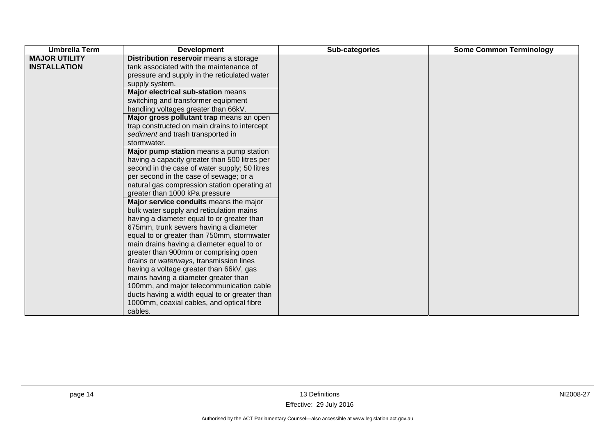| <b>MAJOR UTILITY</b><br>Distribution reservoir means a storage<br>tank associated with the maintenance of<br><b>INSTALLATION</b><br>pressure and supply in the reticulated water<br>supply system.<br>Major electrical sub-station means<br>switching and transformer equipment<br>handling voltages greater than 66kV.<br>Major gross pollutant trap means an open<br>trap constructed on main drains to intercept<br>sediment and trash transported in<br>stormwater.<br>Major pump station means a pump station<br>having a capacity greater than 500 litres per<br>second in the case of water supply; 50 litres<br>per second in the case of sewage; or a<br>natural gas compression station operating at<br>greater than 1000 kPa pressure<br>Major service conduits means the major<br>bulk water supply and reticulation mains<br>having a diameter equal to or greater than<br>675mm, trunk sewers having a diameter<br>equal to or greater than 750mm, stormwater<br>main drains having a diameter equal to or<br>greater than 900mm or comprising open<br>drains or waterways, transmission lines | <b>Umbrella Term</b> | <b>Development</b>                                   | Sub-categories | <b>Some Common Terminology</b> |
|--------------------------------------------------------------------------------------------------------------------------------------------------------------------------------------------------------------------------------------------------------------------------------------------------------------------------------------------------------------------------------------------------------------------------------------------------------------------------------------------------------------------------------------------------------------------------------------------------------------------------------------------------------------------------------------------------------------------------------------------------------------------------------------------------------------------------------------------------------------------------------------------------------------------------------------------------------------------------------------------------------------------------------------------------------------------------------------------------------------|----------------------|------------------------------------------------------|----------------|--------------------------------|
| having a voltage greater than 66kV, gas<br>mains having a diameter greater than<br>100mm, and major telecommunication cable<br>ducts having a width equal to or greater than                                                                                                                                                                                                                                                                                                                                                                                                                                                                                                                                                                                                                                                                                                                                                                                                                                                                                                                                 |                      |                                                      |                |                                |
|                                                                                                                                                                                                                                                                                                                                                                                                                                                                                                                                                                                                                                                                                                                                                                                                                                                                                                                                                                                                                                                                                                              |                      | 1000mm, coaxial cables, and optical fibre<br>cables. |                |                                |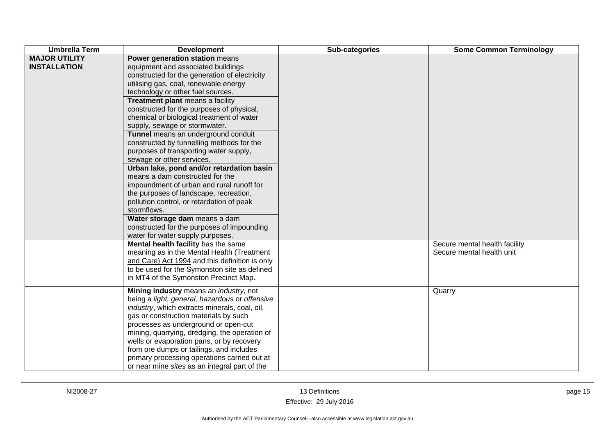| <b>Umbrella Term</b>                        | <b>Development</b>                                                                                                                                                                                                                                                                                                                                                                                                                                                                                                                                                                                                                                                                                                                                                                                                                                     | Sub-categories | <b>Some Common Terminology</b>                             |
|---------------------------------------------|--------------------------------------------------------------------------------------------------------------------------------------------------------------------------------------------------------------------------------------------------------------------------------------------------------------------------------------------------------------------------------------------------------------------------------------------------------------------------------------------------------------------------------------------------------------------------------------------------------------------------------------------------------------------------------------------------------------------------------------------------------------------------------------------------------------------------------------------------------|----------------|------------------------------------------------------------|
| <b>MAJOR UTILITY</b><br><b>INSTALLATION</b> | Power generation station means<br>equipment and associated buildings<br>constructed for the generation of electricity<br>utilising gas, coal, renewable energy<br>technology or other fuel sources.<br><b>Treatment plant means a facility</b><br>constructed for the purposes of physical,<br>chemical or biological treatment of water<br>supply, sewage or stormwater.<br>Tunnel means an underground conduit<br>constructed by tunnelling methods for the<br>purposes of transporting water supply,<br>sewage or other services.<br>Urban lake, pond and/or retardation basin<br>means a dam constructed for the<br>impoundment of urban and rural runoff for<br>the purposes of landscape, recreation,<br>pollution control, or retardation of peak<br>stormflows.<br>Water storage dam means a dam<br>constructed for the purposes of impounding |                |                                                            |
|                                             | water for water supply purposes.<br>Mental health facility has the same<br>meaning as in the Mental Health (Treatment<br>and Care) Act 1994 and this definition is only<br>to be used for the Symonston site as defined<br>in MT4 of the Symonston Precinct Map.                                                                                                                                                                                                                                                                                                                                                                                                                                                                                                                                                                                       |                | Secure mental health facility<br>Secure mental health unit |
|                                             | Mining industry means an <i>industry</i> , not<br>being a light, general, hazardous or offensive<br>industry, which extracts minerals, coal, oil,<br>gas or construction materials by such<br>processes as underground or open-cut<br>mining, quarrying, dredging, the operation of<br>wells or evaporation pans, or by recovery<br>from ore dumps or tailings, and includes<br>primary processing operations carried out at<br>or near mine sites as an integral part of the                                                                                                                                                                                                                                                                                                                                                                          |                | Quarry                                                     |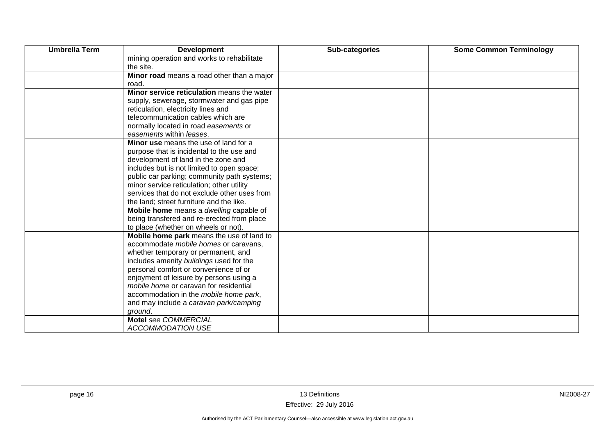| <b>Umbrella Term</b> | <b>Development</b>                           | Sub-categories | <b>Some Common Terminology</b> |
|----------------------|----------------------------------------------|----------------|--------------------------------|
|                      | mining operation and works to rehabilitate   |                |                                |
|                      | the site.                                    |                |                                |
|                      | Minor road means a road other than a major   |                |                                |
|                      | road.                                        |                |                                |
|                      | Minor service reticulation means the water   |                |                                |
|                      | supply, sewerage, stormwater and gas pipe    |                |                                |
|                      | reticulation, electricity lines and          |                |                                |
|                      | telecommunication cables which are           |                |                                |
|                      | normally located in road easements or        |                |                                |
|                      | easements within leases.                     |                |                                |
|                      | Minor use means the use of land for a        |                |                                |
|                      | purpose that is incidental to the use and    |                |                                |
|                      | development of land in the zone and          |                |                                |
|                      | includes but is not limited to open space;   |                |                                |
|                      | public car parking; community path systems;  |                |                                |
|                      | minor service reticulation; other utility    |                |                                |
|                      | services that do not exclude other uses from |                |                                |
|                      | the land; street furniture and the like.     |                |                                |
|                      | Mobile home means a dwelling capable of      |                |                                |
|                      | being transfered and re-erected from place   |                |                                |
|                      | to place (whether on wheels or not).         |                |                                |
|                      | Mobile home park means the use of land to    |                |                                |
|                      | accommodate mobile homes or caravans,        |                |                                |
|                      | whether temporary or permanent, and          |                |                                |
|                      | includes amenity buildings used for the      |                |                                |
|                      | personal comfort or convenience of or        |                |                                |
|                      | enjoyment of leisure by persons using a      |                |                                |
|                      | mobile home or caravan for residential       |                |                                |
|                      | accommodation in the mobile home park,       |                |                                |
|                      | and may include a caravan park/camping       |                |                                |
|                      | ground.                                      |                |                                |
|                      | Motel see COMMERCIAL                         |                |                                |
|                      | <b>ACCOMMODATION USE</b>                     |                |                                |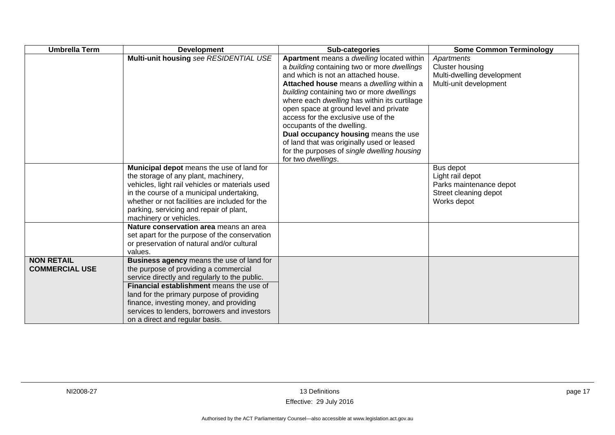| <b>Umbrella Term</b>                       | <b>Development</b>                                                                                                                                                                                                                                                                                                                                        | Sub-categories                                                                                                                                                                                                                                                                                                                                                                                                                                                                                                                                     | <b>Some Common Terminology</b>                                                                   |
|--------------------------------------------|-----------------------------------------------------------------------------------------------------------------------------------------------------------------------------------------------------------------------------------------------------------------------------------------------------------------------------------------------------------|----------------------------------------------------------------------------------------------------------------------------------------------------------------------------------------------------------------------------------------------------------------------------------------------------------------------------------------------------------------------------------------------------------------------------------------------------------------------------------------------------------------------------------------------------|--------------------------------------------------------------------------------------------------|
|                                            | Multi-unit housing see RESIDENTIAL USE                                                                                                                                                                                                                                                                                                                    | Apartment means a dwelling located within<br>a building containing two or more dwellings<br>and which is not an attached house.<br>Attached house means a dwelling within a<br>building containing two or more dwellings<br>where each dwelling has within its curtilage<br>open space at ground level and private<br>access for the exclusive use of the<br>occupants of the dwelling.<br>Dual occupancy housing means the use<br>of land that was originally used or leased<br>for the purposes of single dwelling housing<br>for two dwellings. | Apartments<br><b>Cluster housing</b><br>Multi-dwelling development<br>Multi-unit development     |
|                                            | Municipal depot means the use of land for<br>the storage of any plant, machinery,<br>vehicles, light rail vehicles or materials used<br>in the course of a municipal undertaking,<br>whether or not facilities are included for the<br>parking, servicing and repair of plant,<br>machinery or vehicles.                                                  |                                                                                                                                                                                                                                                                                                                                                                                                                                                                                                                                                    | Bus depot<br>Light rail depot<br>Parks maintenance depot<br>Street cleaning depot<br>Works depot |
|                                            | Nature conservation area means an area<br>set apart for the purpose of the conservation<br>or preservation of natural and/or cultural<br>values.                                                                                                                                                                                                          |                                                                                                                                                                                                                                                                                                                                                                                                                                                                                                                                                    |                                                                                                  |
| <b>NON RETAIL</b><br><b>COMMERCIAL USE</b> | Business agency means the use of land for<br>the purpose of providing a commercial<br>service directly and regularly to the public.<br>Financial establishment means the use of<br>land for the primary purpose of providing<br>finance, investing money, and providing<br>services to lenders, borrowers and investors<br>on a direct and regular basis. |                                                                                                                                                                                                                                                                                                                                                                                                                                                                                                                                                    |                                                                                                  |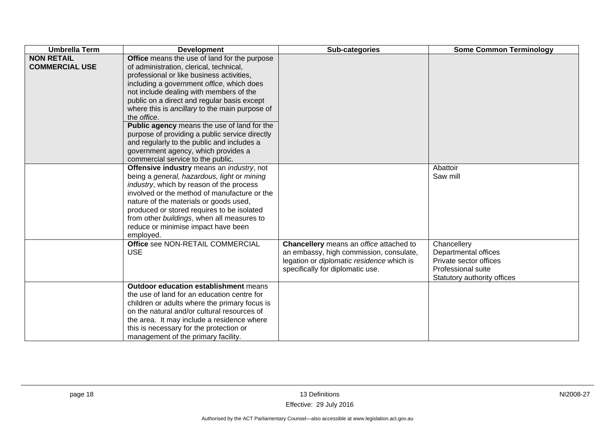| <b>Umbrella Term</b>                       | <b>Development</b>                                                                                                                                                                                                                                                                                                                                                                                                                                                                                                                                                      | Sub-categories                                                                                                                                                      | <b>Some Common Terminology</b>                                                                                     |
|--------------------------------------------|-------------------------------------------------------------------------------------------------------------------------------------------------------------------------------------------------------------------------------------------------------------------------------------------------------------------------------------------------------------------------------------------------------------------------------------------------------------------------------------------------------------------------------------------------------------------------|---------------------------------------------------------------------------------------------------------------------------------------------------------------------|--------------------------------------------------------------------------------------------------------------------|
| <b>NON RETAIL</b><br><b>COMMERCIAL USE</b> | Office means the use of land for the purpose<br>of administration, clerical, technical,<br>professional or like business activities,<br>including a government office, which does<br>not include dealing with members of the<br>public on a direct and regular basis except<br>where this is ancillary to the main purpose of<br>the office.<br>Public agency means the use of land for the<br>purpose of providing a public service directly<br>and regularly to the public and includes a<br>government agency, which provides a<br>commercial service to the public. |                                                                                                                                                                     |                                                                                                                    |
|                                            | Offensive industry means an industry, not<br>being a general, hazardous, light or mining<br>industry, which by reason of the process<br>involved or the method of manufacture or the<br>nature of the materials or goods used,<br>produced or stored requires to be isolated<br>from other buildings, when all measures to<br>reduce or minimise impact have been<br>employed.                                                                                                                                                                                          |                                                                                                                                                                     | Abattoir<br>Saw mill                                                                                               |
|                                            | Office see NON-RETAIL COMMERCIAL<br><b>USE</b>                                                                                                                                                                                                                                                                                                                                                                                                                                                                                                                          | Chancellery means an office attached to<br>an embassy, high commission, consulate,<br>legation or diplomatic residence which is<br>specifically for diplomatic use. | Chancellery<br>Departmental offices<br>Private sector offices<br>Professional suite<br>Statutory authority offices |
|                                            | <b>Outdoor education establishment means</b><br>the use of land for an education centre for<br>children or adults where the primary focus is<br>on the natural and/or cultural resources of<br>the area. It may include a residence where<br>this is necessary for the protection or<br>management of the primary facility.                                                                                                                                                                                                                                             |                                                                                                                                                                     |                                                                                                                    |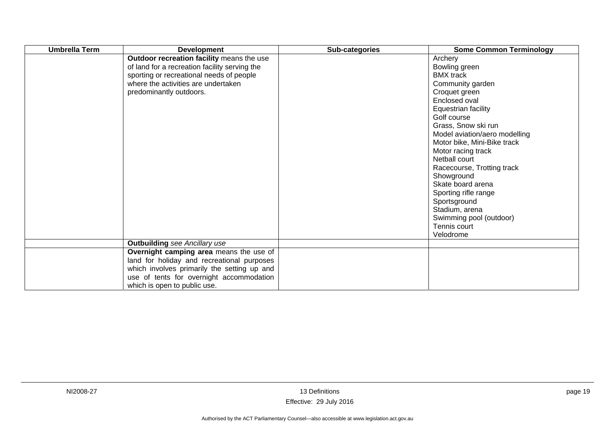| <b>Umbrella Term</b> | <b>Development</b>                                                                                                                                                                                               | Sub-categories | <b>Some Common Terminology</b>                                                                                                                                                                                                                                                                                                                                                                                                               |
|----------------------|------------------------------------------------------------------------------------------------------------------------------------------------------------------------------------------------------------------|----------------|----------------------------------------------------------------------------------------------------------------------------------------------------------------------------------------------------------------------------------------------------------------------------------------------------------------------------------------------------------------------------------------------------------------------------------------------|
|                      | Outdoor recreation facility means the use<br>of land for a recreation facility serving the<br>sporting or recreational needs of people<br>where the activities are undertaken<br>predominantly outdoors.         |                | Archery<br>Bowling green<br><b>BMX</b> track<br>Community garden<br>Croquet green<br>Enclosed oval<br>Equestrian facility<br>Golf course<br>Grass, Snow ski run<br>Model aviation/aero modelling<br>Motor bike, Mini-Bike track<br>Motor racing track<br>Netball court<br>Racecourse, Trotting track<br>Showground<br>Skate board arena<br>Sporting rifle range<br>Sportsground<br>Stadium, arena<br>Swimming pool (outdoor)<br>Tennis court |
|                      |                                                                                                                                                                                                                  |                | Velodrome                                                                                                                                                                                                                                                                                                                                                                                                                                    |
|                      | <b>Outbuilding</b> see Ancillary use                                                                                                                                                                             |                |                                                                                                                                                                                                                                                                                                                                                                                                                                              |
|                      | Overnight camping area means the use of<br>land for holiday and recreational purposes<br>which involves primarily the setting up and<br>use of tents for overnight accommodation<br>which is open to public use. |                |                                                                                                                                                                                                                                                                                                                                                                                                                                              |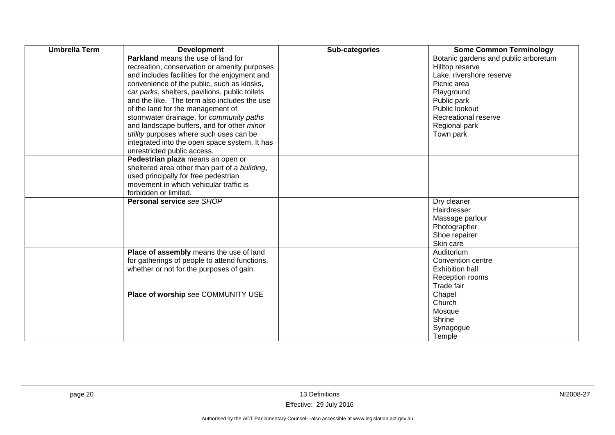| <b>Umbrella Term</b> | <b>Development</b>                                                                                                                                                                                                                                                                                                                                                                                                                                                                                                                                   | Sub-categories | <b>Some Common Terminology</b>                                                                                                                                                                          |
|----------------------|------------------------------------------------------------------------------------------------------------------------------------------------------------------------------------------------------------------------------------------------------------------------------------------------------------------------------------------------------------------------------------------------------------------------------------------------------------------------------------------------------------------------------------------------------|----------------|---------------------------------------------------------------------------------------------------------------------------------------------------------------------------------------------------------|
|                      | <b>Parkland</b> means the use of land for<br>recreation, conservation or amenity purposes<br>and includes facilities for the enjoyment and<br>convenience of the public, such as kiosks,<br>car parks, shelters, pavilions, public toilets<br>and the like. The term also includes the use<br>of the land for the management of<br>stormwater drainage, for community paths<br>and landscape buffers, and for other minor<br>utility purposes where such uses can be<br>integrated into the open space system. It has<br>unrestricted public access. |                | Botanic gardens and public arboretum<br>Hilltop reserve<br>Lake, rivershore reserve<br>Picnic area<br>Playground<br>Public park<br>Public lookout<br>Recreational reserve<br>Regional park<br>Town park |
|                      | Pedestrian plaza means an open or<br>sheltered area other than part of a building,<br>used principally for free pedestrian<br>movement in which vehicular traffic is<br>forbidden or limited.                                                                                                                                                                                                                                                                                                                                                        |                |                                                                                                                                                                                                         |
|                      | <b>Personal service see SHOP</b>                                                                                                                                                                                                                                                                                                                                                                                                                                                                                                                     |                | Dry cleaner<br>Hairdresser<br>Massage parlour<br>Photographer<br>Shoe repairer<br>Skin care                                                                                                             |
|                      | Place of assembly means the use of land<br>for gatherings of people to attend functions,<br>whether or not for the purposes of gain.                                                                                                                                                                                                                                                                                                                                                                                                                 |                | Auditorium<br>Convention centre<br><b>Exhibition hall</b><br>Reception rooms<br>Trade fair                                                                                                              |
|                      | Place of worship see COMMUNITY USE                                                                                                                                                                                                                                                                                                                                                                                                                                                                                                                   |                | Chapel<br>Church<br>Mosque<br>Shrine<br>Synagogue<br>Temple                                                                                                                                             |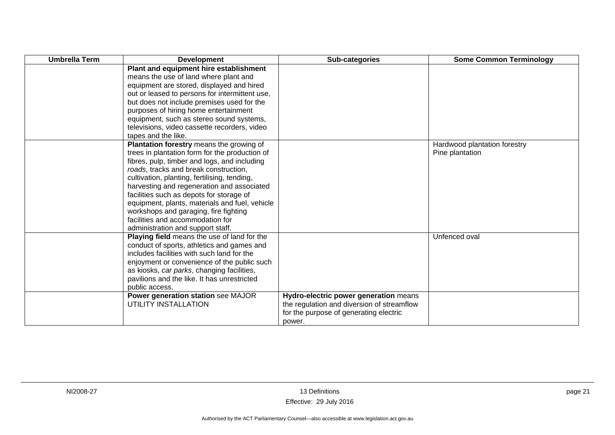| <b>Umbrella Term</b> | <b>Development</b>                                                                       | Sub-categories                             | <b>Some Common Terminology</b> |
|----------------------|------------------------------------------------------------------------------------------|--------------------------------------------|--------------------------------|
|                      | Plant and equipment hire establishment                                                   |                                            |                                |
|                      | means the use of land where plant and                                                    |                                            |                                |
|                      | equipment are stored, displayed and hired                                                |                                            |                                |
|                      | out or leased to persons for intermittent use,                                           |                                            |                                |
|                      | but does not include premises used for the                                               |                                            |                                |
|                      | purposes of hiring home entertainment                                                    |                                            |                                |
|                      | equipment, such as stereo sound systems,                                                 |                                            |                                |
|                      | televisions, video cassette recorders, video                                             |                                            |                                |
|                      | tapes and the like.                                                                      |                                            |                                |
|                      | Plantation forestry means the growing of                                                 |                                            | Hardwood plantation forestry   |
|                      | trees in plantation form for the production of                                           |                                            | Pine plantation                |
|                      | fibres, pulp, timber and logs, and including                                             |                                            |                                |
|                      | roads, tracks and break construction,                                                    |                                            |                                |
|                      | cultivation, planting, fertilising, tending,                                             |                                            |                                |
|                      | harvesting and regeneration and associated                                               |                                            |                                |
|                      | facilities such as depots for storage of                                                 |                                            |                                |
|                      | equipment, plants, materials and fuel, vehicle                                           |                                            |                                |
|                      | workshops and garaging, fire fighting                                                    |                                            |                                |
|                      | facilities and accommodation for                                                         |                                            |                                |
|                      | administration and support staff.                                                        |                                            |                                |
|                      | Playing field means the use of land for the                                              |                                            | Unfenced oval                  |
|                      | conduct of sports, athletics and games and<br>includes facilities with such land for the |                                            |                                |
|                      | enjoyment or convenience of the public such                                              |                                            |                                |
|                      | as kiosks, car parks, changing facilities,                                               |                                            |                                |
|                      | pavilions and the like. It has unrestricted                                              |                                            |                                |
|                      | public access.                                                                           |                                            |                                |
|                      | Power generation station see MAJOR                                                       | Hydro-electric power generation means      |                                |
|                      | UTILITY INSTALLATION                                                                     | the regulation and diversion of streamflow |                                |
|                      |                                                                                          | for the purpose of generating electric     |                                |
|                      |                                                                                          | power.                                     |                                |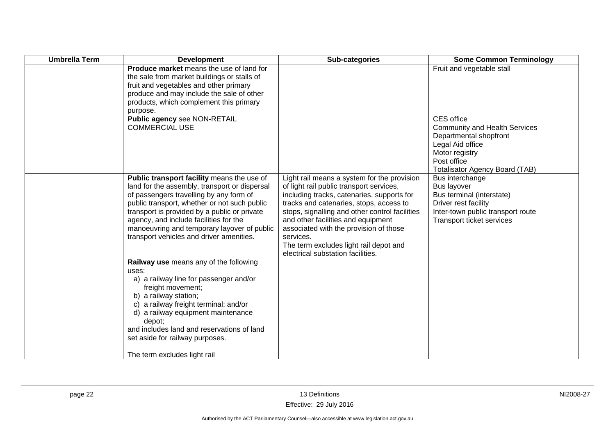| <b>Umbrella Term</b> | <b>Development</b>                                                                                                                                                                                                                                                                                                                                                          | Sub-categories                                                                                                                                                                                                                                                                                                                                                                                                 | <b>Some Common Terminology</b>                                                                                                                                                    |
|----------------------|-----------------------------------------------------------------------------------------------------------------------------------------------------------------------------------------------------------------------------------------------------------------------------------------------------------------------------------------------------------------------------|----------------------------------------------------------------------------------------------------------------------------------------------------------------------------------------------------------------------------------------------------------------------------------------------------------------------------------------------------------------------------------------------------------------|-----------------------------------------------------------------------------------------------------------------------------------------------------------------------------------|
|                      | Produce market means the use of land for<br>the sale from market buildings or stalls of<br>fruit and vegetables and other primary<br>produce and may include the sale of other<br>products, which complement this primary<br>purpose.                                                                                                                                       |                                                                                                                                                                                                                                                                                                                                                                                                                | Fruit and vegetable stall                                                                                                                                                         |
|                      | Public agency see NON-RETAIL<br><b>COMMERCIAL USE</b>                                                                                                                                                                                                                                                                                                                       |                                                                                                                                                                                                                                                                                                                                                                                                                | <b>CES</b> office<br><b>Community and Health Services</b><br>Departmental shopfront<br>Legal Aid office<br>Motor registry<br>Post office<br><b>Totalisator Agency Board (TAB)</b> |
|                      | Public transport facility means the use of<br>land for the assembly, transport or dispersal<br>of passengers travelling by any form of<br>public transport, whether or not such public<br>transport is provided by a public or private<br>agency, and include facilities for the<br>manoeuvring and temporary layover of public<br>transport vehicles and driver amenities. | Light rail means a system for the provision<br>of light rail public transport services,<br>including tracks, catenaries, supports for<br>tracks and catenaries, stops, access to<br>stops, signalling and other control facilities<br>and other facilities and equipment<br>associated with the provision of those<br>services.<br>The term excludes light rail depot and<br>electrical substation facilities. | Bus interchange<br><b>Bus layover</b><br>Bus terminal (interstate)<br>Driver rest facility<br>Inter-town public transport route<br>Transport ticket services                      |
|                      | Railway use means any of the following<br>uses:<br>a) a railway line for passenger and/or<br>freight movement;<br>b) a railway station;<br>c) a railway freight terminal; and/or<br>d) a railway equipment maintenance<br>depot;<br>and includes land and reservations of land<br>set aside for railway purposes.<br>The term excludes light rail                           |                                                                                                                                                                                                                                                                                                                                                                                                                |                                                                                                                                                                                   |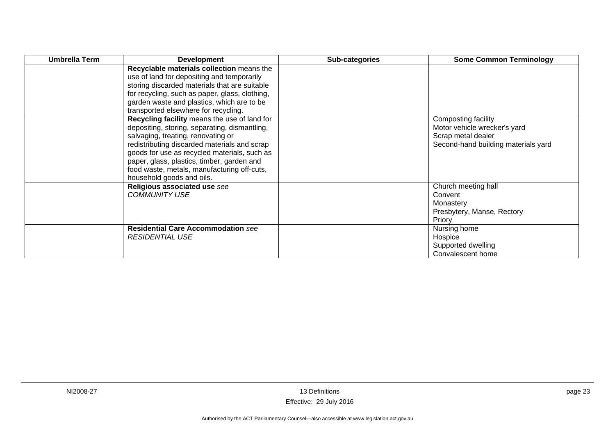| <b>Umbrella Term</b> | <b>Development</b>                                                                                                                                                                                                                                                                                                                                            | <b>Sub-categories</b> | <b>Some Common Terminology</b>                                                                                   |
|----------------------|---------------------------------------------------------------------------------------------------------------------------------------------------------------------------------------------------------------------------------------------------------------------------------------------------------------------------------------------------------------|-----------------------|------------------------------------------------------------------------------------------------------------------|
|                      | Recyclable materials collection means the<br>use of land for depositing and temporarily<br>storing discarded materials that are suitable<br>for recycling, such as paper, glass, clothing,<br>garden waste and plastics, which are to be<br>transported elsewhere for recycling.                                                                              |                       |                                                                                                                  |
|                      | Recycling facility means the use of land for<br>depositing, storing, separating, dismantling,<br>salvaging, treating, renovating or<br>redistributing discarded materials and scrap<br>goods for use as recycled materials, such as<br>paper, glass, plastics, timber, garden and<br>food waste, metals, manufacturing off-cuts,<br>household goods and oils. |                       | Composting facility<br>Motor vehicle wrecker's yard<br>Scrap metal dealer<br>Second-hand building materials yard |
|                      | Religious associated use see<br><b>COMMUNITY USE</b>                                                                                                                                                                                                                                                                                                          |                       | Church meeting hall<br>Convent<br>Monastery<br>Presbytery, Manse, Rectory<br>Priory                              |
|                      | <b>Residential Care Accommodation see</b><br><b>RESIDENTIAL USE</b>                                                                                                                                                                                                                                                                                           |                       | Nursing home<br>Hospice<br>Supported dwelling<br>Convalescent home                                               |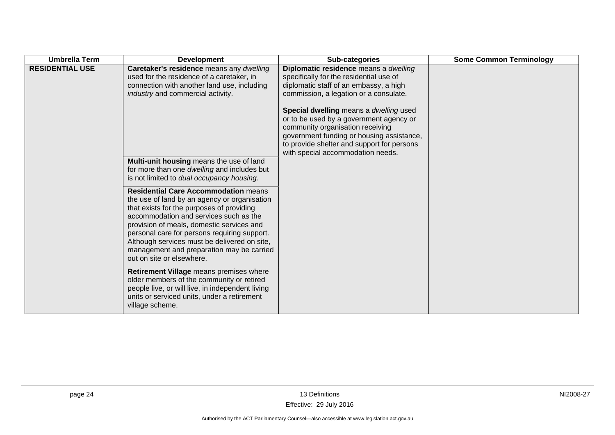| <b>Umbrella Term</b>   | <b>Development</b>                                                                                                                                                                                                                                                                                                                                                                                        | Sub-categories                                                                                                                                                                                                                                        | <b>Some Common Terminology</b> |
|------------------------|-----------------------------------------------------------------------------------------------------------------------------------------------------------------------------------------------------------------------------------------------------------------------------------------------------------------------------------------------------------------------------------------------------------|-------------------------------------------------------------------------------------------------------------------------------------------------------------------------------------------------------------------------------------------------------|--------------------------------|
| <b>RESIDENTIAL USE</b> | Caretaker's residence means any dwelling<br>used for the residence of a caretaker, in<br>connection with another land use, including<br>industry and commercial activity.                                                                                                                                                                                                                                 | Diplomatic residence means a dwelling<br>specifically for the residential use of<br>diplomatic staff of an embassy, a high<br>commission, a legation or a consulate.                                                                                  |                                |
|                        |                                                                                                                                                                                                                                                                                                                                                                                                           | Special dwelling means a dwelling used<br>or to be used by a government agency or<br>community organisation receiving<br>government funding or housing assistance,<br>to provide shelter and support for persons<br>with special accommodation needs. |                                |
|                        | Multi-unit housing means the use of land<br>for more than one dwelling and includes but<br>is not limited to dual occupancy housing.                                                                                                                                                                                                                                                                      |                                                                                                                                                                                                                                                       |                                |
|                        | <b>Residential Care Accommodation means</b><br>the use of land by an agency or organisation<br>that exists for the purposes of providing<br>accommodation and services such as the<br>provision of meals, domestic services and<br>personal care for persons requiring support.<br>Although services must be delivered on site,<br>management and preparation may be carried<br>out on site or elsewhere. |                                                                                                                                                                                                                                                       |                                |
|                        | Retirement Village means premises where<br>older members of the community or retired<br>people live, or will live, in independent living<br>units or serviced units, under a retirement<br>village scheme.                                                                                                                                                                                                |                                                                                                                                                                                                                                                       |                                |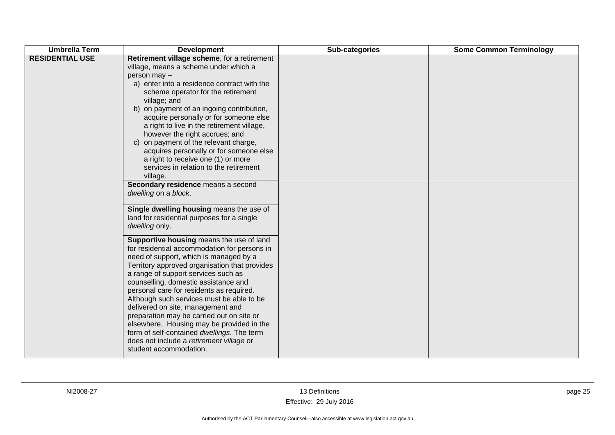| Retirement village scheme, for a retirement<br>village, means a scheme under which a<br>person may -<br>a) enter into a residence contract with the<br>scheme operator for the retirement                                                                                                                                                                                                                                                                                                                                                                                                                                                                                                                                                                                                                                                                                                                                                                                                                                                                                                                                                       | <b>Umbrella Term</b>   | <b>Development</b> | Sub-categories | <b>Some Common Terminology</b> |
|-------------------------------------------------------------------------------------------------------------------------------------------------------------------------------------------------------------------------------------------------------------------------------------------------------------------------------------------------------------------------------------------------------------------------------------------------------------------------------------------------------------------------------------------------------------------------------------------------------------------------------------------------------------------------------------------------------------------------------------------------------------------------------------------------------------------------------------------------------------------------------------------------------------------------------------------------------------------------------------------------------------------------------------------------------------------------------------------------------------------------------------------------|------------------------|--------------------|----------------|--------------------------------|
| b) on payment of an ingoing contribution,<br>acquire personally or for someone else<br>a right to live in the retirement village,<br>however the right accrues; and<br>c) on payment of the relevant charge,<br>acquires personally or for someone else<br>a right to receive one (1) or more<br>services in relation to the retirement<br>village.<br>Secondary residence means a second<br>dwelling on a block.<br>Single dwelling housing means the use of<br>land for residential purposes for a single<br>dwelling only.<br>Supportive housing means the use of land<br>for residential accommodation for persons in<br>need of support, which is managed by a<br>Territory approved organisation that provides<br>a range of support services such as<br>counselling, domestic assistance and<br>personal care for residents as required.<br>Although such services must be able to be<br>delivered on site, management and<br>preparation may be carried out on site or<br>elsewhere. Housing may be provided in the<br>form of self-contained dwellings. The term<br>does not include a retirement village or<br>student accommodation. | <b>RESIDENTIAL USE</b> | village; and       |                |                                |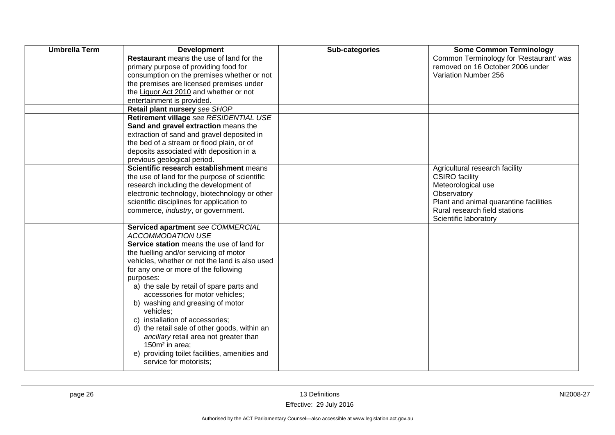| <b>Umbrella Term</b> | <b>Development</b>                                                                                                                                                                                                                                                                                                                                                                                                                                                                                                                                               | Sub-categories | <b>Some Common Terminology</b>                                                                                                                                                                   |
|----------------------|------------------------------------------------------------------------------------------------------------------------------------------------------------------------------------------------------------------------------------------------------------------------------------------------------------------------------------------------------------------------------------------------------------------------------------------------------------------------------------------------------------------------------------------------------------------|----------------|--------------------------------------------------------------------------------------------------------------------------------------------------------------------------------------------------|
|                      | Restaurant means the use of land for the<br>primary purpose of providing food for<br>consumption on the premises whether or not<br>the premises are licensed premises under<br>the Liquor Act 2010 and whether or not<br>entertainment is provided.<br>Retail plant nursery see SHOP                                                                                                                                                                                                                                                                             |                | Common Terminology for 'Restaurant' was<br>removed on 16 October 2006 under<br>Variation Number 256                                                                                              |
|                      | Retirement village see RESIDENTIAL USE<br>Sand and gravel extraction means the                                                                                                                                                                                                                                                                                                                                                                                                                                                                                   |                |                                                                                                                                                                                                  |
|                      | extraction of sand and gravel deposited in<br>the bed of a stream or flood plain, or of<br>deposits associated with deposition in a<br>previous geological period.                                                                                                                                                                                                                                                                                                                                                                                               |                |                                                                                                                                                                                                  |
|                      | Scientific research establishment means<br>the use of land for the purpose of scientific<br>research including the development of<br>electronic technology, biotechnology or other<br>scientific disciplines for application to<br>commerce, industry, or government.                                                                                                                                                                                                                                                                                            |                | Agricultural research facility<br><b>CSIRO</b> facility<br>Meteorological use<br>Observatory<br>Plant and animal quarantine facilities<br>Rural research field stations<br>Scientific laboratory |
|                      | Serviced apartment see COMMERCIAL<br><b>ACCOMMODATION USE</b>                                                                                                                                                                                                                                                                                                                                                                                                                                                                                                    |                |                                                                                                                                                                                                  |
|                      | Service station means the use of land for<br>the fuelling and/or servicing of motor<br>vehicles, whether or not the land is also used<br>for any one or more of the following<br>purposes:<br>a) the sale by retail of spare parts and<br>accessories for motor vehicles;<br>b) washing and greasing of motor<br>vehicles;<br>c) installation of accessories;<br>d) the retail sale of other goods, within an<br>ancillary retail area not greater than<br>150m <sup>2</sup> in area;<br>e) providing toilet facilities, amenities and<br>service for motorists; |                |                                                                                                                                                                                                  |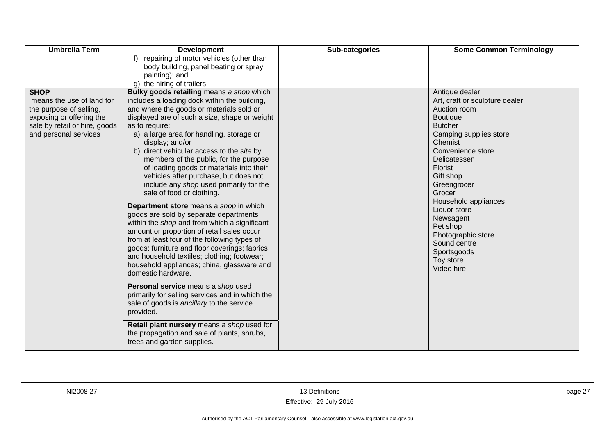| <b>Umbrella Term</b>                                                                                                                                      | <b>Development</b>                                                                                                                                                                                                                                                                                                                                                                                                                                                                                                                                                                                                                                                                                                                                                                                                                                                                                                                                                                                                                                                                                                                                                                                             | Sub-categories | <b>Some Common Terminology</b>                                                                                                                                                                                                                                                                                                                                                           |
|-----------------------------------------------------------------------------------------------------------------------------------------------------------|----------------------------------------------------------------------------------------------------------------------------------------------------------------------------------------------------------------------------------------------------------------------------------------------------------------------------------------------------------------------------------------------------------------------------------------------------------------------------------------------------------------------------------------------------------------------------------------------------------------------------------------------------------------------------------------------------------------------------------------------------------------------------------------------------------------------------------------------------------------------------------------------------------------------------------------------------------------------------------------------------------------------------------------------------------------------------------------------------------------------------------------------------------------------------------------------------------------|----------------|------------------------------------------------------------------------------------------------------------------------------------------------------------------------------------------------------------------------------------------------------------------------------------------------------------------------------------------------------------------------------------------|
|                                                                                                                                                           | f) repairing of motor vehicles (other than<br>body building, panel beating or spray<br>painting); and<br>g) the hiring of trailers.                                                                                                                                                                                                                                                                                                                                                                                                                                                                                                                                                                                                                                                                                                                                                                                                                                                                                                                                                                                                                                                                            |                |                                                                                                                                                                                                                                                                                                                                                                                          |
| <b>SHOP</b><br>means the use of land for<br>the purpose of selling,<br>exposing or offering the<br>sale by retail or hire, goods<br>and personal services | Bulky goods retailing means a shop which<br>includes a loading dock within the building,<br>and where the goods or materials sold or<br>displayed are of such a size, shape or weight<br>as to require:<br>a) a large area for handling, storage or<br>display; and/or<br>b) direct vehicular access to the site by<br>members of the public, for the purpose<br>of loading goods or materials into their<br>vehicles after purchase, but does not<br>include any shop used primarily for the<br>sale of food or clothing.<br>Department store means a shop in which<br>goods are sold by separate departments<br>within the shop and from which a significant<br>amount or proportion of retail sales occur<br>from at least four of the following types of<br>goods: furniture and floor coverings; fabrics<br>and household textiles; clothing; footwear;<br>household appliances; china, glassware and<br>domestic hardware.<br>Personal service means a shop used<br>primarily for selling services and in which the<br>sale of goods is ancillary to the service<br>provided.<br>Retail plant nursery means a shop used for<br>the propagation and sale of plants, shrubs,<br>trees and garden supplies. |                | Antique dealer<br>Art, craft or sculpture dealer<br>Auction room<br><b>Boutique</b><br><b>Butcher</b><br>Camping supplies store<br>Chemist<br>Convenience store<br>Delicatessen<br><b>Florist</b><br>Gift shop<br>Greengrocer<br>Grocer<br>Household appliances<br>Liquor store<br>Newsagent<br>Pet shop<br>Photographic store<br>Sound centre<br>Sportsgoods<br>Toy store<br>Video hire |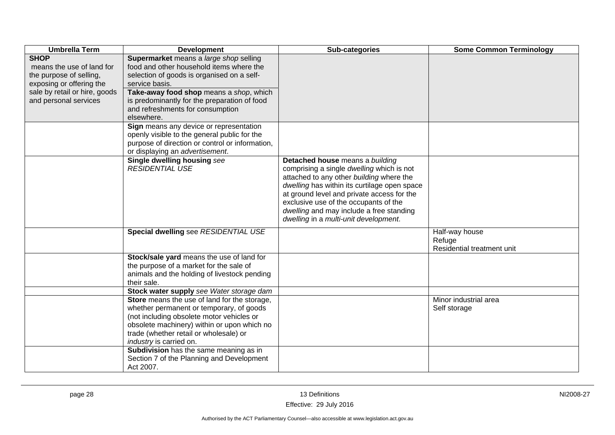| <b>Umbrella Term</b>                                                                                                                                      | <b>Development</b>                                                                                                                                                                                                                                                                                  | Sub-categories                                                                                                                                                                                                                                                                                                                                       | <b>Some Common Terminology</b>                         |
|-----------------------------------------------------------------------------------------------------------------------------------------------------------|-----------------------------------------------------------------------------------------------------------------------------------------------------------------------------------------------------------------------------------------------------------------------------------------------------|------------------------------------------------------------------------------------------------------------------------------------------------------------------------------------------------------------------------------------------------------------------------------------------------------------------------------------------------------|--------------------------------------------------------|
| <b>SHOP</b><br>means the use of land for<br>the purpose of selling,<br>exposing or offering the<br>sale by retail or hire, goods<br>and personal services | Supermarket means a large shop selling<br>food and other household items where the<br>selection of goods is organised on a self-<br>service basis.<br>Take-away food shop means a shop, which<br>is predominantly for the preparation of food<br>and refreshments for consumption<br>elsewhere.     |                                                                                                                                                                                                                                                                                                                                                      |                                                        |
|                                                                                                                                                           | Sign means any device or representation<br>openly visible to the general public for the<br>purpose of direction or control or information,<br>or displaying an advertisement.                                                                                                                       |                                                                                                                                                                                                                                                                                                                                                      |                                                        |
|                                                                                                                                                           | Single dwelling housing see<br><b>RESIDENTIAL USE</b>                                                                                                                                                                                                                                               | Detached house means a building<br>comprising a single dwelling which is not<br>attached to any other building where the<br>dwelling has within its curtilage open space<br>at ground level and private access for the<br>exclusive use of the occupants of the<br>dwelling and may include a free standing<br>dwelling in a multi-unit development. |                                                        |
|                                                                                                                                                           | Special dwelling see RESIDENTIAL USE                                                                                                                                                                                                                                                                |                                                                                                                                                                                                                                                                                                                                                      | Half-way house<br>Refuge<br>Residential treatment unit |
|                                                                                                                                                           | Stock/sale yard means the use of land for<br>the purpose of a market for the sale of<br>animals and the holding of livestock pending<br>their sale.                                                                                                                                                 |                                                                                                                                                                                                                                                                                                                                                      |                                                        |
|                                                                                                                                                           | Stock water supply see Water storage dam                                                                                                                                                                                                                                                            |                                                                                                                                                                                                                                                                                                                                                      |                                                        |
|                                                                                                                                                           | Store means the use of land for the storage,<br>whether permanent or temporary, of goods<br>(not including obsolete motor vehicles or<br>obsolete machinery) within or upon which no<br>trade (whether retail or wholesale) or<br>industry is carried on.<br>Subdivision has the same meaning as in |                                                                                                                                                                                                                                                                                                                                                      | Minor industrial area<br>Self storage                  |
|                                                                                                                                                           | Section 7 of the Planning and Development<br>Act 2007.                                                                                                                                                                                                                                              |                                                                                                                                                                                                                                                                                                                                                      |                                                        |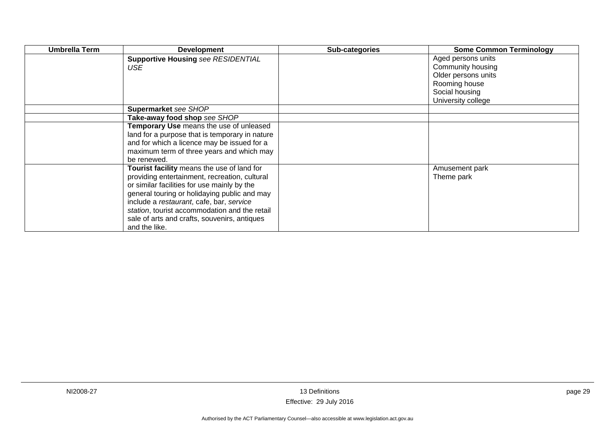| <b>Umbrella Term</b> | <b>Development</b>                               | Sub-categories | <b>Some Common Terminology</b>          |
|----------------------|--------------------------------------------------|----------------|-----------------------------------------|
|                      | <b>Supportive Housing see RESIDENTIAL</b><br>USE |                | Aged persons units<br>Community housing |
|                      |                                                  |                | Older persons units                     |
|                      |                                                  |                | Rooming house                           |
|                      |                                                  |                | Social housing                          |
|                      |                                                  |                | University college                      |
|                      | Supermarket see SHOP                             |                |                                         |
|                      | Take-away food shop see SHOP                     |                |                                         |
|                      | Temporary Use means the use of unleased          |                |                                         |
|                      | land for a purpose that is temporary in nature   |                |                                         |
|                      | and for which a licence may be issued for a      |                |                                         |
|                      | maximum term of three years and which may        |                |                                         |
|                      | be renewed.                                      |                |                                         |
|                      | Tourist facility means the use of land for       |                | Amusement park                          |
|                      | providing entertainment, recreation, cultural    |                | Theme park                              |
|                      | or similar facilities for use mainly by the      |                |                                         |
|                      | general touring or holidaying public and may     |                |                                         |
|                      | include a restaurant, cafe, bar, service         |                |                                         |
|                      | station, tourist accommodation and the retail    |                |                                         |
|                      | sale of arts and crafts, souvenirs, antiques     |                |                                         |
|                      | and the like.                                    |                |                                         |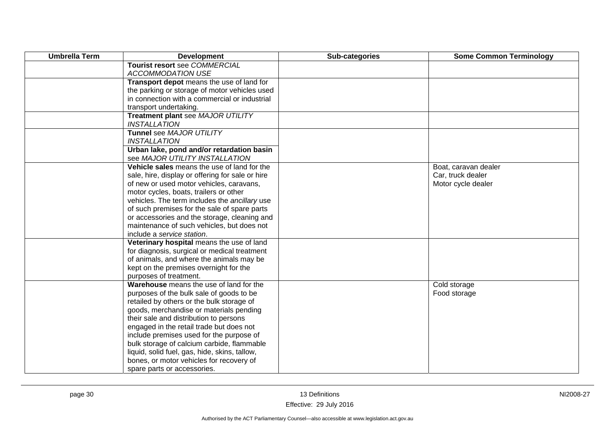| <b>Umbrella Term</b> | <b>Development</b>                                       | Sub-categories | <b>Some Common Terminology</b> |
|----------------------|----------------------------------------------------------|----------------|--------------------------------|
|                      | Tourist resort see COMMERCIAL                            |                |                                |
|                      | <b>ACCOMMODATION USE</b>                                 |                |                                |
|                      | Transport depot means the use of land for                |                |                                |
|                      | the parking or storage of motor vehicles used            |                |                                |
|                      | in connection with a commercial or industrial            |                |                                |
|                      | transport undertaking.                                   |                |                                |
|                      | Treatment plant see MAJOR UTILITY<br><b>INSTALLATION</b> |                |                                |
|                      | Tunnel see MAJOR UTILITY                                 |                |                                |
|                      | <b>INSTALLATION</b>                                      |                |                                |
|                      | Urban lake, pond and/or retardation basin                |                |                                |
|                      | see MAJOR UTILITY INSTALLATION                           |                |                                |
|                      | Vehicle sales means the use of land for the              |                | Boat, caravan dealer           |
|                      | sale, hire, display or offering for sale or hire         |                | Car, truck dealer              |
|                      | of new or used motor vehicles, caravans,                 |                | Motor cycle dealer             |
|                      | motor cycles, boats, trailers or other                   |                |                                |
|                      | vehicles. The term includes the ancillary use            |                |                                |
|                      | of such premises for the sale of spare parts             |                |                                |
|                      | or accessories and the storage, cleaning and             |                |                                |
|                      | maintenance of such vehicles, but does not               |                |                                |
|                      | include a service station.                               |                |                                |
|                      | Veterinary hospital means the use of land                |                |                                |
|                      | for diagnosis, surgical or medical treatment             |                |                                |
|                      | of animals, and where the animals may be                 |                |                                |
|                      | kept on the premises overnight for the                   |                |                                |
|                      | purposes of treatment.                                   |                |                                |
|                      | Warehouse means the use of land for the                  |                | Cold storage                   |
|                      | purposes of the bulk sale of goods to be                 |                | Food storage                   |
|                      | retailed by others or the bulk storage of                |                |                                |
|                      | goods, merchandise or materials pending                  |                |                                |
|                      | their sale and distribution to persons                   |                |                                |
|                      | engaged in the retail trade but does not                 |                |                                |
|                      | include premises used for the purpose of                 |                |                                |
|                      | bulk storage of calcium carbide, flammable               |                |                                |
|                      | liquid, solid fuel, gas, hide, skins, tallow,            |                |                                |
|                      | bones, or motor vehicles for recovery of                 |                |                                |
|                      | spare parts or accessories.                              |                |                                |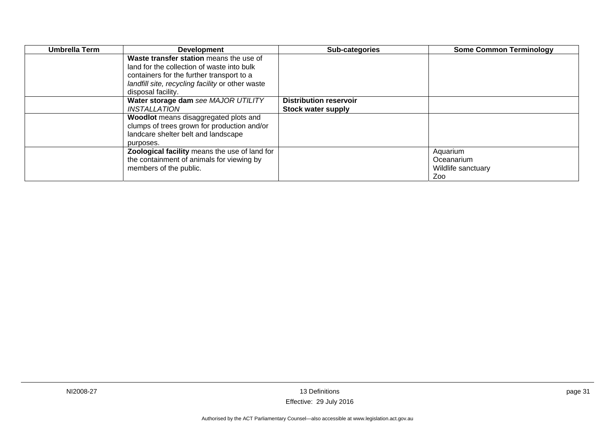| Umbrella Term | <b>Development</b>                               | Sub-categories                | <b>Some Common Terminology</b> |
|---------------|--------------------------------------------------|-------------------------------|--------------------------------|
|               | Waste transfer station means the use of          |                               |                                |
|               | land for the collection of waste into bulk       |                               |                                |
|               | containers for the further transport to a        |                               |                                |
|               | landfill site, recycling facility or other waste |                               |                                |
|               | disposal facility.                               |                               |                                |
|               | Water storage dam see MAJOR UTILITY              | <b>Distribution reservoir</b> |                                |
|               | INSTALLATION                                     | <b>Stock water supply</b>     |                                |
|               | Woodlot means disaggregated plots and            |                               |                                |
|               | clumps of trees grown for production and/or      |                               |                                |
|               | landcare shelter belt and landscape              |                               |                                |
|               | purposes.                                        |                               |                                |
|               | Zoological facility means the use of land for    |                               | Aquarium                       |
|               | the containment of animals for viewing by        |                               | Oceanarium                     |
|               | members of the public.                           |                               | Wildlife sanctuary             |
|               |                                                  |                               | Zoo                            |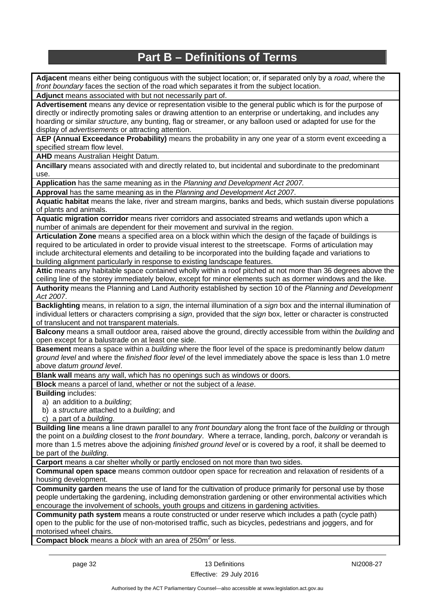## **Part B – Definitions of Terms**

**Adjacent** means either being contiguous with the subject location; or, if separated only by a *road*, where the *front boundary* faces the section of the road which separates it from the subject location.

**Adjunct** means associated with but not necessarily part of.

**Advertisement** means any device or representation visible to the general public which is for the purpose of directly or indirectly promoting sales or drawing attention to an enterprise or undertaking, and includes any hoarding or similar *structure*, any bunting, flag or streamer, or any balloon used or adapted for use for the display of *advertisements* or attracting attention.

**AEP (Annual Exceedance Probability)** means the probability in any one year of a storm event exceeding a specified stream flow level.

**AHD** means Australian Height Datum.

**Ancillary** means associated with and directly related to, but incidental and subordinate to the predominant use.

**Application** has the same meaning as in the *Planning and Development Act 2007.*

**Approval** has the same meaning as in the *Planning and Development Act 2007*.

**Aquatic habitat** means the lake, river and stream margins, banks and beds, which sustain diverse populations of plants and animals.

**Aquatic migration corridor** means river corridors and associated streams and wetlands upon which a number of animals are dependent for their movement and survival in the region.

**Articulation Zone** means a specified area on a block within which the design of the façade of buildings is required to be articulated in order to provide visual interest to the streetscape. Forms of articulation may include architectural elements and detailing to be incorporated into the building façade and variations to building alignment particularly in response to existing landscape features.

**Attic** means any habitable space contained wholly within a roof pitched at not more than 36 degrees above the ceiling line of the storey immediately below, except for minor elements such as dormer windows and the like.

**Authority** means the Planning and Land Authority established by section 10 of the *Planning and Development Act 2007*.

**Backlighting** means, in relation to a *sign*, the internal illumination of a *sign* box and the internal illumination of individual letters or characters comprising a *sign*, provided that the *sign* box, letter or character is constructed of translucent and not transparent materials.

**Balcony** means a small outdoor area, raised above the ground, directly accessible from within the *building* and open except for a balustrade on at least one side.

**Basement** means a space within a *building* where the floor level of the space is predominantly below *datum ground level* and where the *finished floor level* of the level immediately above the space is less than 1.0 metre above *datum ground level*.

**Blank wall** means any wall, which has no openings such as windows or doors.

**Block** means a parcel of land, whether or not the subject of a *lease*.

**Building** includes:

a) an addition to a *building*;

b) a *structure* attached to a *building*; and

c) a part of a *building*.

**Building line** means a line drawn parallel to any *front boundary* along the front face of the *building* or through the point on a *building* closest to the *front boundary*. Where a terrace, landing, porch, *balcony* or verandah is more than 1.5 metres above the adjoining *finished ground level* or is covered by a roof, it shall be deemed to be part of the *building*.

**Carport** means a car shelter wholly or partly enclosed on not more than two sides.

**Communal open space** means common outdoor open space for recreation and relaxation of residents of a housing development.

**Community garden** means the use of land for the cultivation of produce primarily for personal use by those people undertaking the gardening, including demonstration gardening or other environmental activities which encourage the involvement of schools, youth groups and citizens in gardening activities.

**Community path system** means a route constructed or under reserve which includes a path (cycle path) open to the public for the use of non-motorised traffic, such as bicycles, pedestrians and joggers, and for motorised wheel chairs.

**Compact block** means a *block* with an area of 250m<sup>2</sup> or less.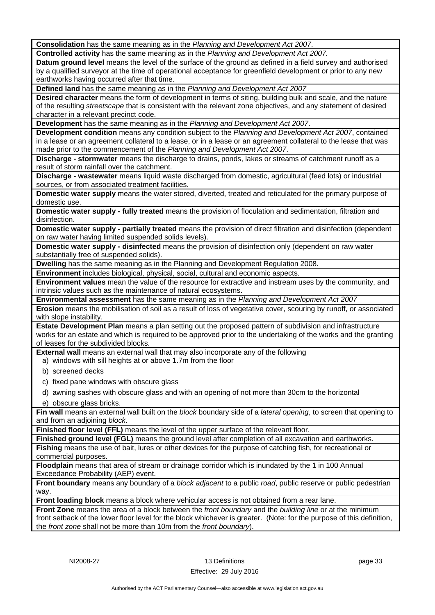**Consolidation** has the same meaning as in the *Planning and Development Act 2007*.

**Controlled activity** has the same meaning as in the *Planning and Development Act 2007.*

**Datum ground level** means the level of the surface of the ground as defined in a field survey and authorised by a qualified surveyor at the time of operational acceptance for greenfield development or prior to any new earthworks having occurred after that time.

**Defined land** has the same meaning as in the *Planning and Development Act 2007*

**Desired character** means the form of development in terms of siting, building bulk and scale, and the nature of the resulting *streetscape* that is consistent with the relevant zone objectives, and any statement of desired character in a relevant precinct code.

**Development** has the same meaning as in the *Planning and Development Act 2007*.

**Development condition** means any condition subject to the *Planning and Development Act 2007*, contained in a lease or an agreement collateral to a lease, or in a lease or an agreement collateral to the lease that was made prior to the commencement of the *Planning and Development Act 2007*.

**Discharge - stormwater** means the discharge to drains, ponds, lakes or streams of catchment runoff as a result of storm rainfall over the catchment.

**Discharge - wastewater** means liquid waste discharged from domestic, agricultural (feed lots) or industrial sources, or from associated treatment facilities.

**Domestic water supply** means the water stored, diverted, treated and reticulated for the primary purpose of domestic use.

**Domestic water supply - fully treated** means the provision of floculation and sedimentation, filtration and disinfection.

**Domestic water supply - partially treated** means the provision of direct filtration and disinfection (dependent on raw water having limited suspended solids levels).

**Domestic water supply - disinfected** means the provision of disinfection only (dependent on raw water substantially free of suspended solids).

**Dwelling** has the same meaning as in the Planning and Development Regulation 2008.

**Environment** includes biological, physical, social, cultural and economic aspects.

**Environment values** mean the value of the resource for extractive and instream uses by the community, and intrinsic values such as the maintenance of natural ecosystems.

**Environmental assessment** has the same meaning as in the *Planning and Development Act 2007*

**Erosion** means the mobilisation of soil as a result of loss of vegetative cover, scouring by runoff, or associated with slope instability.

**Estate Development Plan** means a plan setting out the proposed pattern of subdivision and infrastructure works for an estate and which is required to be approved prior to the undertaking of the works and the granting of leases for the subdivided blocks.

**External wall** means an external wall that may also incorporate any of the following

a) windows with sill heights at or above 1.7m from the floor

- b) screened decks
- c) fixed pane windows with obscure glass
- d) awning sashes with obscure glass and with an opening of not more than 30cm to the horizontal
- e) obscure glass bricks.

**Fin wall** means an external wall built on the *block* boundary side of a *lateral opening*, to screen that opening to and from an adjoining *block*.

**Finished floor level (FFL)** means the level of the upper surface of the relevant floor.

**Finished ground level (FGL)** means the ground level after completion of all excavation and earthworks.

**Fishing** means the use of bait, lures or other devices for the purpose of catching fish, for recreational or commercial purposes.

**Floodplain** means that area of stream or drainage corridor which is inundated by the 1 in 100 Annual Exceedance Probability (AEP) event.

**Front boundary** means any boundary of a *block adjacent* to a public *road*, public reserve or public pedestrian way.

**Front loading block** means a block where vehicular access is not obtained from a rear lane.

**Front Zone** means the area of a block between the *front boundary* and the *building line* or at the minimum front setback of the lower floor level for the block whichever is greater. (Note: for the purpose of this definition, the *front zone* shall not be more than 10m from the *front boundary*).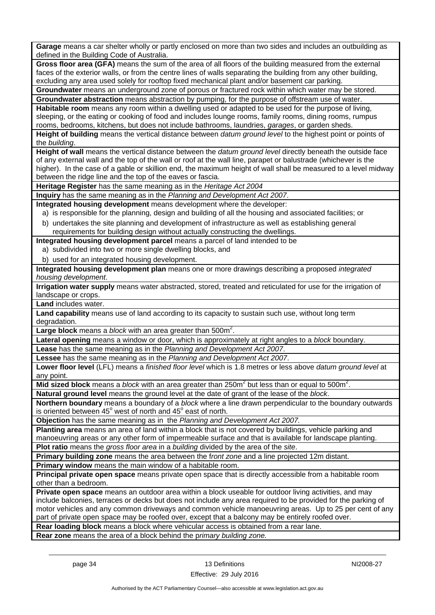**Garage** means a car shelter wholly or partly enclosed on more than two sides and includes an outbuilding as defined in the Building Code of Australia.

**Gross floor area (GFA)** means the sum of the area of all floors of the building measured from the external faces of the exterior walls, or from the centre lines of walls separating the building from any other building, excluding any area used solely for rooftop fixed mechanical plant and/or basement car parking.

**Groundwater** means an underground zone of porous or fractured rock within which water may be stored. **Groundwater abstraction** means abstraction by pumping, for the purpose of offstream use of water.

**Habitable room** means any room within a dwelling used or adapted to be used for the purpose of living, sleeping, or the eating or cooking of food and includes lounge rooms, family rooms, dining rooms, rumpus rooms, bedrooms, kitchens, but does not include bathrooms, laundries, *garages*, or garden sheds.

**Height of building** means the vertical distance between *datum ground level* to the highest point or points of the *building*.

**Height of wall** means the vertical distance between the *datum ground level* directly beneath the outside face of any external wall and the top of the wall or roof at the wall line, parapet or balustrade (whichever is the higher). In the case of a gable or skillion end, the maximum height of wall shall be measured to a level midway between the ridge line and the top of the eaves or fascia.

**Heritage Register** has the same meaning as in the *Heritage Act 2004*

**Inquiry** has the same meaning as in the *Planning and Development Act 2007*.

**Integrated housing development** means development where the developer:

a) is responsible for the planning, design and building of all the housing and associated facilities; or

b) undertakes the site planning and development of infrastructure as well as establishing general requirements for building design without actually constructing the dwellings.

**Integrated housing development parcel** means a parcel of land intended to be

- a) subdivided into two or more single dwelling blocks, and
- b) used for an integrated housing development.

**Integrated housing development plan** means one or more drawings describing a proposed *integrated housing development*.

**Irrigation water supply** means water abstracted, stored, treated and reticulated for use for the irrigation of landscape or crops.

**Land** includes water.

**Land capability** means use of land according to its capacity to sustain such use, without long term degradation

Large block means a *block* with an area greater than 500m<sup>2</sup>.

**Lateral opening** means a window or door, which is approximately at right angles to a *block* boundary.

**Lease** has the same meaning as in the *Planning and Development Act 2007*.

**Lessee** has the same meaning as in the *Planning and Development Act 2007*.

**Lower floor level** (LFL) means a *finished floor level* which is 1.8 metres or less above *datum ground level* at any point.

Mid sized block means a *block* with an area greater than 250m<sup>2</sup> but less than or equal to 500m<sup>2</sup>.

**Natural ground level** means the ground level at the date of grant of the lease of the *block*.

**Northern boundary** means a boundary of a *block* where a line drawn perpendicular to the boundary outwards is oriented between  $45^{\circ}$  west of north and  $45^{\circ}$  east of north.

**Objection** has the same meaning as in the *Planning and Development Act 2007.*

**Planting area** means an area of land within a block that is not covered by buildings, vehicle parking and manoeuvring areas or any other form of impermeable surface and that is available for landscape planting.

**Plot ratio** means the *gross floor area* in a *building* divided by the area of the *site*.

**Primary building zone** means the area between the f*ront zone* and a line projected 12m distant.

**Primary window** means the main window of a habitable room.

**Principal private open space** means private open space that is directly accessible from a habitable room other than a bedroom.

**Private open space** means an outdoor area within a block useable for outdoor living activities, and may include balconies, terraces or decks but does not include any area required to be provided for the parking of motor vehicles and any common driveways and common vehicle manoeuvring areas. Up to 25 per cent of any part of private open space may be roofed over, except that a balcony may be entirely roofed over.

**Rear loading block** means a block where vehicular access is obtained from a rear lane.

**Rear zone** means the area of a block behind the p*rimary building zone.*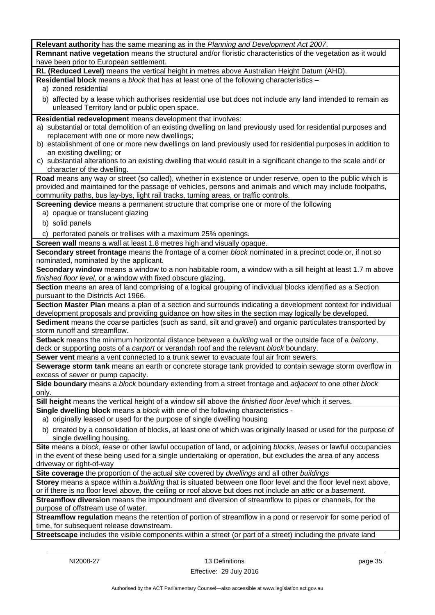| Relevant authority has the same meaning as in the Planning and Development Act 2007.                                                                                                                                |
|---------------------------------------------------------------------------------------------------------------------------------------------------------------------------------------------------------------------|
| Remnant native vegetation means the structural and/or floristic characteristics of the vegetation as it would<br>have been prior to European settlement.                                                            |
| RL (Reduced Level) means the vertical height in metres above Australian Height Datum (AHD).                                                                                                                         |
| Residential block means a block that has at least one of the following characteristics -                                                                                                                            |
| a) zoned residential                                                                                                                                                                                                |
| b) affected by a lease which authorises residential use but does not include any land intended to remain as                                                                                                         |
| unleased Territory land or public open space.                                                                                                                                                                       |
| Residential redevelopment means development that involves:                                                                                                                                                          |
| a) substantial or total demolition of an existing dwelling on land previously used for residential purposes and                                                                                                     |
| replacement with one or more new dwellings;                                                                                                                                                                         |
| b) establishment of one or more new dwellings on land previously used for residential purposes in addition to                                                                                                       |
| an existing dwelling; or                                                                                                                                                                                            |
| c) substantial alterations to an existing dwelling that would result in a significant change to the scale and/or                                                                                                    |
| character of the dwelling.                                                                                                                                                                                          |
| Road means any way or street (so called), whether in existence or under reserve, open to the public which is                                                                                                        |
| provided and maintained for the passage of vehicles, persons and animals and which may include footpaths,                                                                                                           |
| community paths, bus lay-bys, light rail tracks, turning areas, or traffic controls.                                                                                                                                |
| Screening device means a permanent structure that comprise one or more of the following                                                                                                                             |
| a) opaque or translucent glazing                                                                                                                                                                                    |
| b) solid panels                                                                                                                                                                                                     |
| c) perforated panels or trellises with a maximum 25% openings.                                                                                                                                                      |
| Screen wall means a wall at least 1.8 metres high and visually opaque.                                                                                                                                              |
| Secondary street frontage means the frontage of a corner block nominated in a precinct code or, if not so                                                                                                           |
| nominated, nominated by the applicant.                                                                                                                                                                              |
| Secondary window means a window to a non habitable room, a window with a sill height at least 1.7 m above                                                                                                           |
| finished floor level, or a window with fixed obscure glazing.                                                                                                                                                       |
| Section means an area of land comprising of a logical grouping of individual blocks identified as a Section                                                                                                         |
| pursuant to the Districts Act 1966.                                                                                                                                                                                 |
| Section Master Plan means a plan of a section and surrounds indicating a development context for individual<br>development proposals and providing guidance on how sites in the section may logically be developed. |
| Sediment means the coarse particles (such as sand, silt and gravel) and organic particulates transported by                                                                                                         |
| storm runoff and streamflow.                                                                                                                                                                                        |
| Setback means the minimum horizontal distance between a building wall or the outside face of a balcony,                                                                                                             |
| deck or supporting posts of a carport or verandah roof and the relevant block boundary.                                                                                                                             |
| Sewer vent means a vent connected to a trunk sewer to evacuate foul air from sewers.                                                                                                                                |
| Sewerage storm tank means an earth or concrete storage tank provided to contain sewage storm overflow in                                                                                                            |
| excess of sewer or pump capacity.                                                                                                                                                                                   |
| Side boundary means a block boundary extending from a street frontage and adjacent to one other block                                                                                                               |
| only.                                                                                                                                                                                                               |
| Sill height means the vertical height of a window sill above the finished floor level which it serves.                                                                                                              |
| Single dwelling block means a block with one of the following characteristics -                                                                                                                                     |
| a) originally leased or used for the purpose of single dwelling housing                                                                                                                                             |
| b) created by a consolidation of blocks, at least one of which was originally leased or used for the purpose of                                                                                                     |
| single dwelling housing.                                                                                                                                                                                            |
| Site means a block, lease or other lawful occupation of land, or adjoining blocks, leases or lawful occupancies                                                                                                     |
| in the event of these being used for a single undertaking or operation, but excludes the area of any access                                                                                                         |
| driveway or right-of-way                                                                                                                                                                                            |
| Site coverage the proportion of the actual site covered by dwellings and all other buildings                                                                                                                        |
| Storey means a space within a building that is situated between one floor level and the floor level next above,                                                                                                     |
| or if there is no floor level above, the ceiling or roof above but does not include an attic or a basement.                                                                                                         |
| Streamflow diversion means the impoundment and diversion of streamflow to pipes or channels, for the                                                                                                                |
| purpose of offstream use of water.                                                                                                                                                                                  |
| Streamflow regulation means the retention of portion of streamflow in a pond or reservoir for some period of                                                                                                        |
| time, for subsequent release downstream.                                                                                                                                                                            |
| Streetscape includes the visible components within a street (or part of a street) including the private land                                                                                                        |